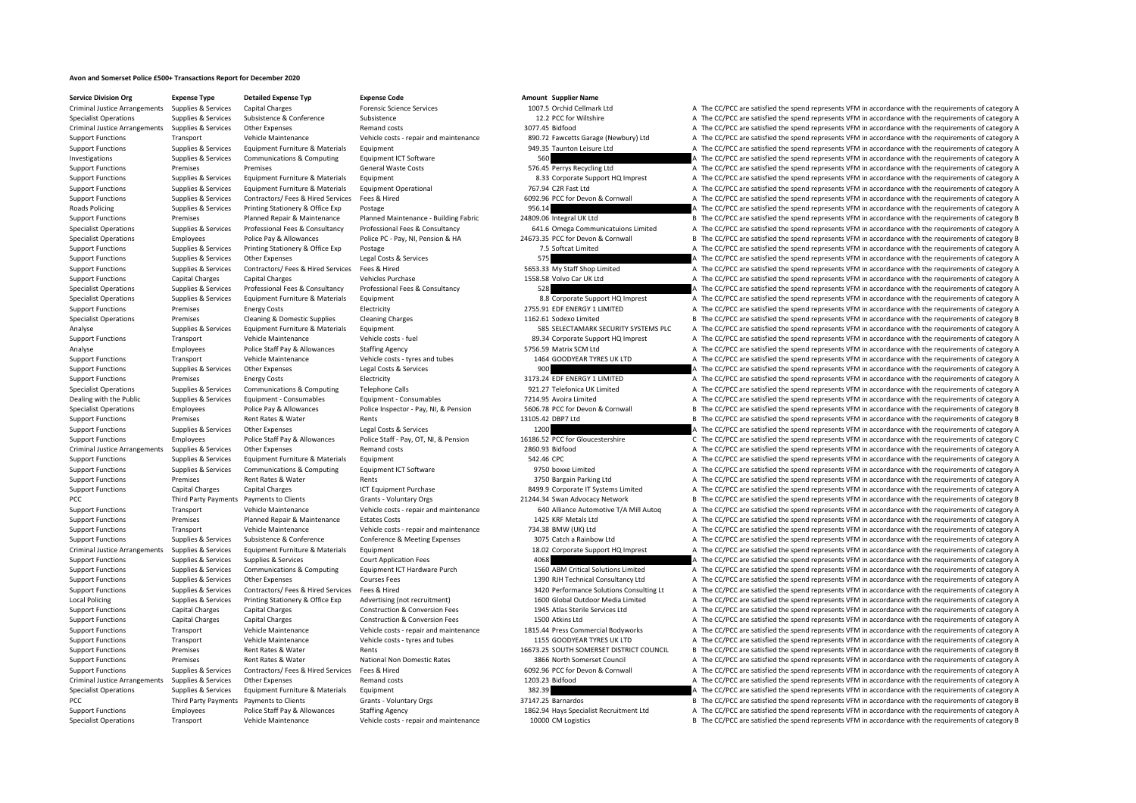## **Avon and Somerset Police £500+ Transactions Report for December 2020**

**Service Division Org Expense Type Detailed Expense Typ Expense Code Amount Supplier Name**

Criminal Justice Arrangements Supplies & Services Capital Charges Forensic Science Services Forensic Science Services 1007.5 Orchid Cellmark Ltd A The CC/PCC are satisfied the spend represents VFM in accordance with the re Specialist Operations Supplies & Services Subsistence Subsistence Subsistence Subsistence Subsistence Subsistence Subsistence Subsistence Subsistence Subsistence Subsistence Subsistence Subsistence Subsistence Subsistence Criminal Justice Arrangements Supplies & Services Other Expenses Remand costs Remand costs a Remand costs 3077.45 Bidfood A The CC/PCC are satisfied the spend represents VFM in accordance with the requirements of category Support Functions Transport Vehicle Maintenance Vehicle costs - repair and maintenance 890.72 Fawcetts Garage (Newbury) Ltd A The CC/PCC are satisfied the spend represents VFM in accordance with the requirements of categor Support Functions Supplies & Services Foultoment Furniture & Materials Foultoment 949.35 Taunton Leisure Ltd A The CC/PCC are satisfied the spend represents VFM in accordance with the requirements of category A Investigations Supplies & Services Communications & Computing Equipment ICT Software 560 560 A The CC/PCC are satisfied the spend represents VFM in accordance with the requirements of category A Support Functions Premises Premises Premises Support Seneral Waste Costs ST6.45 Perrys Recycling Ltd A The CC/PCC are satisfied the spend represents VFM in accordance with the requirements of category A Support Functions Supplies & Services Equipment Furniture & Materials Equipment Equipment Equipment Americals Equipment A The CC/PCC are satisfied the spend represents VFM in accordance with the requirements of category A Support Functions Supplies & Services Equipment Furniture & Materials Equipment Operational 767.94 C2R Fast Ltd A The CC/PCC are satisfied the spend represents VFM in accordance with the requirements of category A Support Functions Supplies & Services Contractors/ Fees & Hired Services Fees & Hired 6092.96 PCC for Devon & Cornwall A The CC/PCC are satisfied the spend represents VFM in accordance with the requirements of category A Roads Policing Supplies & Services Printing Stationery & Office Exp Postage 956.14 956.14 A The CC/PCC are satisfied the spend represents VFM in accordance with the requirements of category A Support Functions Premises Planned Repair & Maintenance Planned Maintenance - Building Fabric 24809.06 Integral UK Ltd B The CC/PCC are satisfied the spend represents VFM in accordance with the requirements of category B Supplies & Services Professional Fees & Consultancy Professional Fees & Consultancy Professional Fees & Consultancy Professional Fees & Consultancy Professional Fees & Consultancy Professional Fees & Consultancy Consultanc Specialist Operations Employees Police Pay & Allowances Police PC - Pay, NI, Pension & HA 24673.35 PCC for Devon & Cornwall B The CC/PCC are satisfied the spend represents VFM in accordance with the requirements of categor Support Functions Supplies & Services Printing Stationery & Office Exp Postage 7.5 Softcat Limited 7.5 Softcat Limited A The CC/PCC are satisfied the spend represents VFM in accordance with the requirements of category A Support Functions Supplies & Services Other Expenses Legal Costs & Services Services 575 A The CC/PCC are satisfied the spend represents VFM in accordance with the requirements of category A Support Functions Supplies & Services Contractors/ Fees & Hired Services Fees & Hired Services Fees & Hired 5653.33 My Staff Shop Limited A The CC/PCC are satisfied the spend represents VFM in accordance with the requireme Support Functions Capital Charges Capital Charges Vehicles Purchase Vehicles Purchase 1558.58 Volvo Car UK Ltd A The CC/PCC are satisfied the spend represents VFM in accordance with the requirements of category A Specialist Operations Supplies & Services Professional Fees & Consultancy Professional Fees & Consultancy Professional Fees & Consultancy Professional Fees & Consultancy Specialist Operations A The CC/PCC are satisfied the Specialist Operations Supplies & Services Equipment Furniture & Materials Equipment A The CC/PCC are satisfied the spend represents VFM in accordance with the requirements of category A Support Functions Premises Energy Costs Electricity Electricity 2755.91 EDF ENERGY 1 LIMITED A The CC/PCC are satisfied the spend represents VFM in accordance with the requirements of category A Specialist Operations Premises Cleaning & Domestic Supplies Cleaning Charges Cleaning Charges 1162.61 Sodexo Limited B The CC/PCC are satisfied the spend represents VFM in accordance with the requirements of category B Analyse Supplies & Services Equipment Furniture & Materials Equipment Sequipment Services Analyse Services Analyse Services Analyse Services Analyse Services Analyse Services Analyse Services Analyse Services Analyse Servi Support Functions Transport Vehicle Maintenance Vehicle costs - fuel 89.34 Corporate Support HQ Imprest A The CC/PCC are satisfied the spend represents VFM in accordance with the requirements of category A Analyse Employees Police Staff Pay & Allowances Staffing Agency 5756.59 Matrix SCM Ltd A The CC/PCC are satisfied the spend represents VFM in accordance with the requirements of category A Support Functions Transport Vehicle Maintenance Vehicle costs - tyres and tubes 1464 GOODYEAR TYRES UK LTD A The CC/PCC are satisfied the spend represents VFM in accordance with the requirements of category A Support Functions Supplies & Services Other Expenses Legal Costs & Services 900 BENERGY 11IMITED A The CC/PCC are satisfied the spend represents VFM in accordance with the requirements of category A Services Functions and Support Functions Premises Energy Costs Functions Electricity and the Support of the CC/PCC are satisfied the spend represents VFM in accordance with the requirements of category A Specialist Operations Supplies & Services Communications & Computing Telephone Calls 921.27 Telefonica UK Limited A The CC/PCC are satisfied the spend represents VFM in accordance with the requirements of category A Dealing with the Public Supplies & Services Equipment ‐ Consumables Equipment ‐ Consumables Equipment • Consumables Equipment • Consumables Equipment • Consumables 7214.95 Avoira Limited A The CC/PCC are satisfied the spen Specialist Operations Employees Police Pay & Allowances Police Inspector - Pay, NI, & Pension 5606.78 PCC for Devon & Cornwall B The CC/PCC are satisfied the spend represents VFM in accordance with the requirements of cate Support Functions Premises Rent Rates & Water Rents Rents Rents Rents 13105.42 DBP7 Ltd B The CC/PCC are satisfied the spend represents VFM in accordance with the requirements of category B Support Functions Supplies & Services Other Expenses Legal Costs & Services 1200 1200 A The CC/PCC are satisfied the spend represents VFM in accordance with the requirements of category A Support Functions Employees Police Staff Pay & Allowances Police Staff - Pay, OT, NI, & Pension 16186.52 PCC for Gloucestershire C/PCC are satisfied the spend represents VFM in accordance with the requirements of category Criminal Justice Arrangements Supplies & Services Other Expenses Remand costs Remand costs 2860.93 Bidfood A The CC/PCC are satisfied the spend represents VFM in accordance with the requirements of category A Support Functions Supplies & Services Equipment Furniture & Materials Equipment Support Equipment Support Functions Support Functions Support Functions Supplies & Services Equipment Furniture & Materials Equipment Support Support Functions Supplies & Services Communications & Computing Equipment ICT Software 9750 boxxe Limited A The CC/PCC are satisfied the spend represents VFM in accordance with the requirements of category A Support Functions Premises Rent Rates & Water Rents Rents Rents and A The CC/PCC are satisfied the spend represents VFM in accordance with the requirements of category A Support Functions Capital Charges Capital Charges ICT Equipment Purchase ICT Equipment Purchase 8499.9 Corporate IT Systems Limited A The CC/PCC are satisfied the spend represents VFM in accordance with the requirements of PCC Third Party Payments Payments to Clients Grants - Voluntary Orgs 21244.34 Swan Advocacy Network B The CC/PCC are satisfied the spend represents VFM in accordance with the requirements of category B Support Functions Transport Vehicle Maintenance Vehicle costs - repair and maintenance Vehicle costs - repair and maintenance 640 Alliance Automotive T/A Mill Autoq A The CC/PCC are satisfied the spend represents VFM in ac Support Functions Premises Planned Repair & Maintenance Estates Costs 1425 KRF Metals Ltd A The CC/PCC are satisfied the spend represents VFM in accordance with the requirements of category A Support Functions Transport Vehicle Maintenance Vehicle costs ‐ repair and maintenance 734.38 BMW (UK) Ltd A The CC/PCC are satisfied the spend represents VFM in accordance with the requirements of category A Support Functions Supplies & Services Subsistence & Conference Conference & Meeting Expenses 3075 Catch a Rainbow Ltd A The CC/PCC are satisfied the spend represents VFM in accordance with the requirements of category A Criminal Justice Arrangements Supplies & Services Equipment Furniture & Materials Equipment Equipment Equipment Equipment Suppliers and the SC/PCC are satisfied the spend represents VFM in accordance with the requirements Support Functions Supplies & Services Supplies & Services Court Application Fees 4068 4068 A The CC/PCC are satisfied the spend represents VFM in accordance with the requirements of category A Support Functions Supplies & Services Communications & Computing Equipment ICT Hardware Purch 1560 ABM Critical Solutions Limited A The CC/PCC are satisfied the spend represents VFM in accordance with the requirements of c Support Functions Supplies & Services Other Expenses Courses Fees Courses Fees 1390 RJH Technical Consultancy Ltd A The CC/PCC are satisfied the spend represents VFM in accordance with the requirements of category A Suppor Supplies & Services Contractors/ Fees & Hired Services Fees & Hired Nevices Fees & Hired Nevices Fees & Hired Meritors Conserved and the CONFCC are satisfied the spend represents VFM in accordance with the requirements of Local Policing Supplies & Services Printing Stationery & Office Exp Advertising (not recruitment) 1600 Global Outdoor Media Limited A The CC/PCC are satisfied the spend represents VFM in accordance with the requirements of Support Functions Capital Charges Capital Charges Construction & Conversion Fees 1945 Atlas Sterile Services Ltd A The CC/PCC are satisfied the spend represents VFM in accordance with the requirements of category A Support Functions Capital Charges Capital Charges Construction & Conversion Fees 1500 Atkins Ltd A The CC/PCC are satisfied the spend represents VFM in accordance with the requirements of category A Support Functions Vehic Support Functions Transport Vehicle Maintenance Vehicle costs - repair and maintenance 1815.44 Press Commercial Bodyworks A The CC/PCC are satisfied the spend represents VFM in accordance with the requirements of category Support Functions Transport Vehicle Maintenance Vehicle costs - tyres and tubes 1155 GOODYEAR TYRES UK LTD A The CC/PCC are satisfied the spend represents VFM in accordance with the requirements of category A Support Functions Premises Rent Rates & Water Rents Rents Rents Rents Rents 16673.25 SOUTH SOMERSET DISTRICT COUNCIL B The CC/PCC are satisfied the spend represents VFM in accordance with the requirements of category B Support Functions Premises Rent Rates & Water National Non Domestic Rates 3866 North Somerset Council A The CC/PCC are satisfied the spend represents VFM in accordance with the requirements of category A Support Functions Supplies & Services Contractors/ Fees & Hired Services Fees & Hired 6092.96 PCC for Devon & Cornwall A The CC/PCC are satisfied the spend represents VFM in accordance with the requirements of category A Criminal Justice Arrangements Supplies & Services Other Expenses Remand costs Remand costs 1203.23 Bidfood A The CC/PCC are satisfied the spend represents VFM in accordance with the requirements of category A Specialist Operations Supplies & Services Equipment Furniture & Materials Equipment Supplierials Equipment 382.39 382.39 A The CC/PCC are satisfied the spend represents VFM in accordance with the requirements of category A PCC Third Party Payments Payments to Clients Grants - Voluntary Orgs 37147.25 Barnardos B The CC/PCC are satisfied the spend represents VFM in accordance with the requirements of category B Support Functions Employees Police Staff Pay & Allowances Staffing Agency 1862.94 Hays Specialist Recruitment Ltd A The CC/PCC are satisfied the spend represents VFM in accordance with the requirements of category A Specialist Operations Transport Vehicle Maintenance Vehicle costs ‐ repair and maintenance 10000 CM Logistics B The CC/PCC are satisfied the spend represents VFM in accordance with the requirements of category B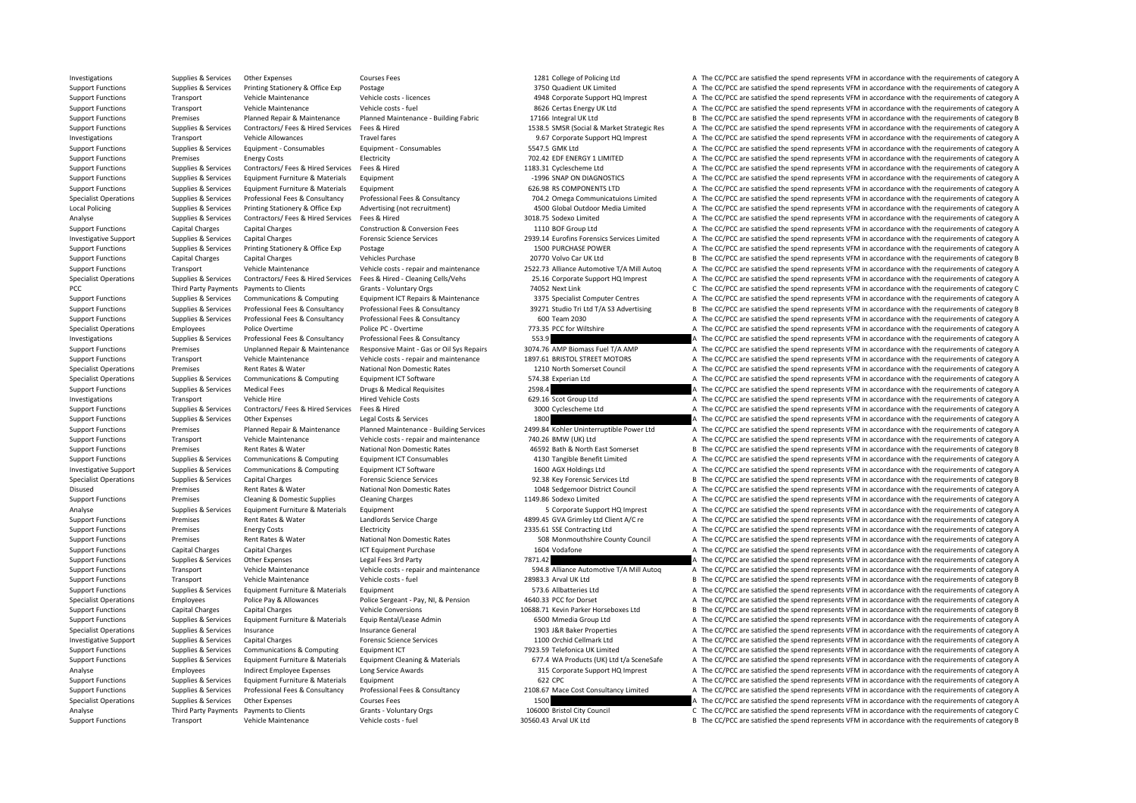Investigations Supplies & Services Other Expenses Courses Fees Courses Fees 1281 College of Policing Ltd A The CC/PCC are satisfied the spend represents VFM in accordance with the requirements of category A Support Functions Supplies & Services Printing Stationery & Office Exp Postage 3750 Quadient UK Limited A The CC/PCC are satisfied the spend represents VFM in accordance with the requirements of category A Support Functions Transport Vehicle Maintenance Vehicle costs Vehicle costs Vehicle costs Vehicle costs Vehicle costs Vehicle costs Vehicle costs Vehicle costs Vehicle costs Vehicle costs Vehicle costs Vehicle costs Vehicl Support Functions Transport Vehicle Maintenance Vehicle costs fuel 8626 Certas Energy UK Ltd A The CC/PCC are satisfied the spend represents VFM in accordance with the requirements of category A The CC/PCC are satisfied th Support Functions Premises Planned Repair & Maintenance Planned Maintenance - Building Fabric 17166 Integral UK Ltd B The CC/PCC are satisfied the spend represents VFM in accordance with the requirements of category B Support Functions Supplies & Services Contractors/ Fees & Hired Services Fees & Hired Marked Enter Market Strategic Res AMSR (Social & Market Strategic Res A The CC/PCC are satisfied the spend represents VFM in accordance Investigations Transport Vehicle Allowances Travel fares Travel fares and the Second HQ Imprest A The CC/PCC are satisfied the spend represents VFM in accordance with the requirements of category A The Secondal of the Seco Support Functions Supplies & Services Equipment - Consumables Faujoment - Consumables Equipment Consumables 5547.5 GMK Ltd A The CC/PCC are satisfied the spend represents VFM in accordance with the requirements of category Support Functions Premises Energy Costs Electricity Electricity 702.42 EDF ENERGY 1 LIMITED A The CC/PCC are satisfied the spend represents VFM in accordance with the requirements of category A Support Functions Supplies & Services Contractors/ Fees & Hired Services Fees & Hired 1183.31 Cyclescheme Ltd A The CC/PCC are satisfied the spend represents VFM in accordance with the requirements of category A Support Functions Supplies & Services Equipment Furniture & Materials Equipment Equipment Equipment Equipment Equipment Equipment Equipment Care and Care of the Support Care and the Care of the CC/PCC are satisfied the spe Support Functions Supplies & Services Equipment Furniture & Materials Equipment 600 Equipment 600.98 RS COMPONENTS LTD A The CC/PCC are satisfied the spend represents VFM in accordance with the requirements of category A Supplies & Services Professional Fees & Consultancy Professional Fees & Consultancy Professional Fees & Consultancy Professional Fees & Consultancy Professional Fees & Consultancy Professional Fees & Consultancy Profession Local Policing Supplies & Services Printing Stationery & Office Exp Advertising (not recruitment) 4500 Global Outdoor Media Limited A The CC/PCC are satisfied the spend represents VFM in accordance with the requirements of Analyse Supplies & Services Contractors/ Fees & Hired Services Fees & Hired Services Fees & Hired 3018.75 Sodexo Limited A The CC/PCC are satisfied the spend represents VFM in accordance with the requirements of category A Support Functions Capital Charges Capital Charges Construction & Conversion Fees 1110 BOF Group Ltd A The CC/PCC are satisfied the spend represents VFM in accordance with the requirements of category A Investigative Supplies & Services Capital Charges Forensic Science Services (2939.14 Eurofins Forensics Services A The CC/PCC are satisfied the spend represents VFM in accordance with the requirements of category A Support Functions Supplies & Services Printing Stationery & Office Exp Postage 1500 PURCHASE POWER A The CC/PCC are satisfied the spend represents VFM in accordance with the requirements of category A Support Functions Capital Charges Capital Charges Vehicles Purchase Vehicles Purchase 20770 Volvo Car UK Ltd B The CC/PCC are satisfied the spend represents VFM in accordance with the requirements of category B Support Functions Transport Vehicle Maintenance Vehicle Costs - repair and maintenance 2522.73 Alliance Automotive T/A Mill Autoo A The CC/PCC are satisfied the spend represents VEM in accordance with the requirements of c Specialist Operations Supplies & Services Contractors/ Fees & Hired Services Fees & Hired Services Fees & Hired Services Fees & Hired Services Fees & Hired Services Fees & Hired Services Fees & Hired Services Cenaning Cell PCC The CC/PCC are satisfied the spend represents VPM in accordance with the requirements of category C The CC/PCC are satisfied the spend represents VFM in accordance with the requirements of category C Grants - Voluntary Supplies & Services Communications & Computing Equipment ICT Repairs & Maintenance 3375 Specialist Computer Centres A The CC/PCC are satisfied the spend represents VFM in accordance with the requirements of category A Supplies & Services Professional Fees & Consultancy Professional Fees & Consultancy Professional Fees & Consultancy Professional Fees & Consultancy Professional Fees & Consultancy Professional Fees & Consultancy 39271 Stud Support Functions Supplies & Services Professional Fees & Consultancy Professional Fees & Consultancy Professional Fees & Consultancy Professional Fees & Consultancy Professional Fees & Consultancy Professional Fees & Cons Specialist Operations Employees Police Overtime Police PC - Overtime Police PC - Overtime 773.35 PCC for Wiltshire A The CC/PCC are satisfied the spend represents VFM in accordance with the requirements of category A Investigations Supplies & Services Professional Fees & Consultancy Professional Fees & Consultancy Professional Fees & Consultancy Professional Fees & Consultancy S53.9 A The CC/PCC are satisfied the spend represents VFM i Support Functions Premises Unplanned Repair & Maintenance Responsive Maint - Gas or Oil Sys Repairs 3074.76 AMP Biomass Fuel T/A AMP A The CC/PCC are satisfied the spend represents VFM in accordance with the requirements o Support Functions Transport Vehicle Maintenance Vehicle costs ‐ repair and maintenance 1897.61 BRISTOL STREET MOTORS A The CC/PCC are satisfied the spend represents VFM in accordance with the requirements of category A Specialist Operations Premises Rent Rates & Water National Non Domestic Rates 1210 North Somerset Council A The CC/PCC are satisfied the spend represents VFM in accordance with the requirements of category A Specialist Operations Supplies & Services Communications & Computing Equipment ICT Software 574.38 Experian Ltd A The CC/PCC are satisfied the spend represents VFM in accordance with the requirements of category A The CC/P Support Functions Supplies & Services Medical Fees Drugs & Medical Requisites 2598.4 2598.4 A The CC/PCC are satisfied the spend represents VFM in accordance with the requirements of category A Investigations Transport Vehicle Hire Hired Vehicle Costs 629.16 Scot Group Ltd A The CC/PCC are satisfied the spend represents VFM in accordance with the requirements of category A Support Functions Supplies & Services Contractors/ Fees & Hired Services Fees & Hired Services Fees & Hired 3000 Cyclescheme Ltd A The CC/PCC are satisfied the spend represents VFM in accordance with the requirements of ca Support Functions Supplies & Services Other Expenses Legal Costs & Services 1800 A The CC/PCC are satisfied the spend represents VFM in accordance with the requirements of category A Support Functions Premises Planned Repair & Maintenance Planned Maintenance Building Services 2499.84 Kohler Uninterruntible Power Itd A The CC/PCC are satisfied the spend represents VFM in accordance with the requirements Support Functions Transport Vehicle Maintenance Vehicle costs - repair and maintenance 740.26 BMW (UK) Ltd A The CC/PCC are satisfied the spend represents VFM in accordance with the requirements of category A Support Functions Premises Rent Rates & Water National Non Domestic Rates 46592 Bath & North East Somerset B The CC/PCC are satisfied the spend represents VFM in accordance with the requirements of category B Support Functions Supplies & Services Communications & Computing Equipment ICT Consumables 4130 Tangible Benefit Limited A The CC/PCC are satisfied the spend represents VFM in accordance with the requirements of category A Investigative Support Supplies & Services Communications & Computing Equipment ICT Software 1600 AGX Holdings Ltd A The CC/PCC are satisfied the spend represents VFM in accordance with the requirements of category A Specialist Operations Supplies & Services Capital Charges Forensic Science Services extites 92.38 Key Forensic Services Ltd B The CC/PCC are satisfied the spend represents VFM in accordance with the requirements of categor Disused Premises Rent Rates & Water National Non Domestic Rates 1048 Sedgemoor District Council A The CC/PCC are satisfied the spend represents VFM in accordance with the requirements of category A Support Functions Premises Cleaning & Domestic Supplies Cleaning Charges Cleaning Charges 1149.86 Sodexo Limited A The CC/PCC are satisfied the spend represents VFM in accordance with the requirements of category A Analyse Supplies & Services Equipment Furniture & Materials Equipment Support HO Imprest Support HQ Imprest A The CC/PCC are satisfied the spend represents VFM in accordance with the requirements of category A Support Functions Premises Rent Rates & Water Landlords Service Charge 4899.45 GVA Grimley Ltd Client A/C re A The CC/PCC are satisfied the spend represents VFM in accordance with the requirements of category A Support Functions Premises Energy Costs Electricity Electricity 2335.61 SSE Contracting Ltd A The CC/PCC are satisfied the spend represents VFM in accordance with the requirements of category A Support Functions Premises Rent Rates & Water National Non Domestic Rates 508 Monmouthshire County Council A The CC/PCC are satisfied the spend represents VFM in accordance with the requirements of category A Support Functions Capital Charges Capital Charges ICT Equipment Purchase 1604 Vodafone 1604 Vodafone A The CC/PCC are satisfied the spend represents VFM in accordance with the requirements of category A Support Functions Supplies & Services Other Expenses Legal Fees 3rd Party 7871.42 7871.42 A The CC/PCC are satisfied the spend represents VFM in accordance with the requirements of category A Support Functions Transport Vehicle Maintenance Vehicle costs - repair and maintenance S94.8 Alliance Automotive T/A Mill Autoq A The CC/PCC are satisfied the spend represents VFM in accordance with the requirements of cat Support Functions Transport Vehicle Maintenance Vehicle costs - fuel 28983.3 Arval UK Ltd B The CC/PCC are satisfied the spend represents VFM in accordance with the requirements of category B Support Functions Supplies & Services Equipment Furniture & Materials Equipment Support Functions and the CC/PCC are satisfied the spend represents VFM in accordance with the requirements of category A Specialist Operations Employees Police Pay & Allowances Police Sergeant - Pay, NI, & Pension 4640.33 PCC for Dorset A The CC/PCC are satisfied the spend represents VFM in accordance with the requirements of category A Support Functions Capital Charges Capital Charges Vehicle Conversions Vehicle Conversions 10688.71 Kevin Parker Horseboxes Ltd B The CC/PCC are satisfied the spend represents VFM in accordance with the requirements of cate Support Functions Supplies & Services Equipment Furniture & Materials Equip Rental/Lease Admin 6500 Mmedia Group Ltd A The CC/PCC are satisfied the spend represents VFM in accordance with the requirements of category A Specialist Operations Supplies & Services Insurance Services Insurance General Insurance General 1903 J&R Baker Properties A The CC/PCC are satisfied the spend represents VFM in accordance with the requirements of category Investigative Support Supplies & Services Capital Charges Forensic Science Services Forensic Science Services 1100 Orchid Cellmark Ltd A The CC/PCC are satisfied the spend represents VFM in accordance with the requirements Support Functions Supplies & Services Communications & Computing Equipment ICT 7923.59 Telefonica UK Limited A The CC/PCC are satisfied the spend represents VFM in accordance with the requirements of category A Support Functions Supplies & Services Equipment Furniture & Materials Equipment Cleaning & Materials Equipment Cleaning & Materials Materials Anterials and the SC/PCC are satisfied the spend represents VFM in accordance wi Analyse Employees Indirect Employee Expenses Long Service Awards 315 Corporate Support HQ Imprest A The CC/PCC are satisfied the spend represents VFM in accordance with the requirements of category A Support Functions Supplies & Services Equipment Furniture & Materials Equipment 620 CDC 622 CPC 600 CDC A The CC/PCC are satisfied the spend represents VFM in accordance with the requirements of category A Supplies & Services Professional Fees & Consultancy Professional Fees & Consultancy Professional Fees & Consultancy Professional Fees & Consultancy 2108.67 Mace Cost Consultancy Limited A The CC/PCC are satisfied the spend Specialist Operations Supplies & Services Other Expenses Courses Fees Courses Fees 1500 1500 A The CC/PCC are satisfied the spend represents VFM in accordance with the requirements of category A Analyse Third Party Payments Payments to Clients Grants - Voluntary Orgs 106000 Bristol City Council Council C The CC/PCC are satisfied the spend represents VFM in accordance with the requirements of category C Support Functions Transport Vehicle Maintenance Vehicle costs - fuel 30560.43 Arval UK Ltd B The CC/PCC are satisfied the spend represents VFM in accordance with the requirements of category B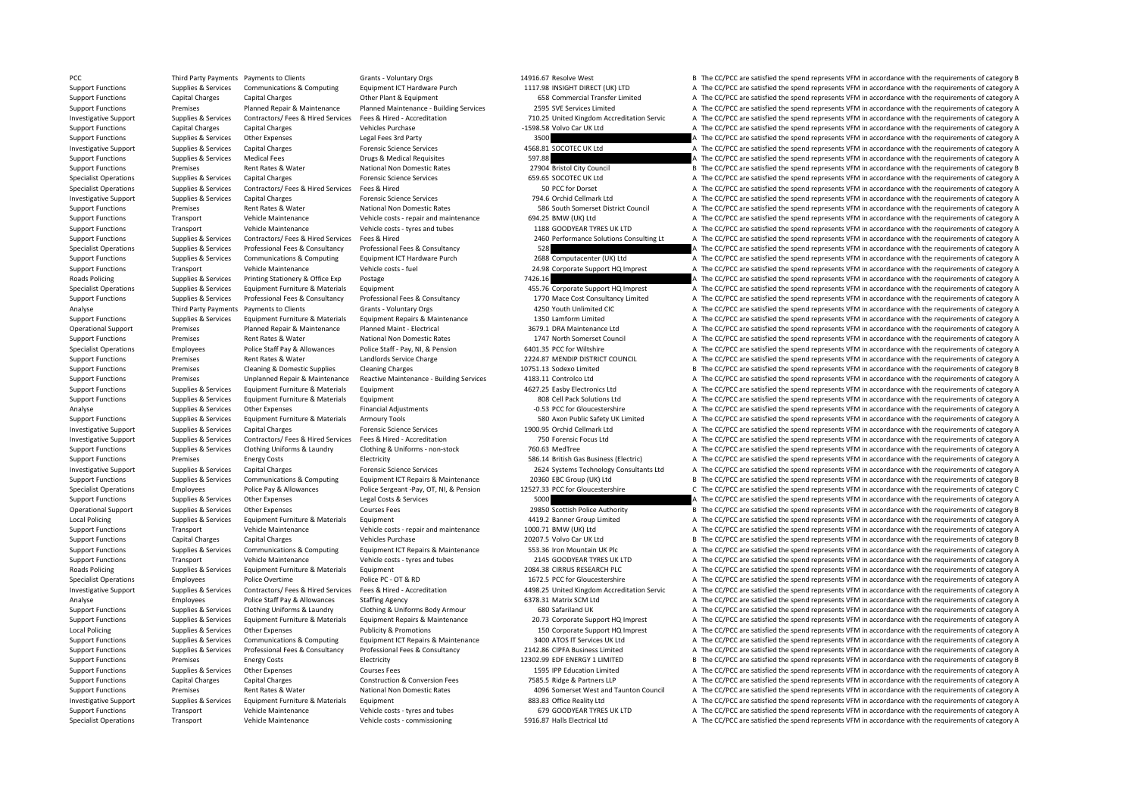PCC Third Party Payments Payments to Clients Grants - Voluntary Orgs 14916.67 Resolve West B The CC/PCC are satisfied the spend represents VFM in accordance with the requirements of category B Support Functions Supplies & Services Communications & Computing Equipment ICT Hardware Purch 1117.98 INSIGHT DIRECT (UK) LTD A The CC/PCC are satisfied the spend represents VFM in accordance with the requirements of categ Support Functions Capital Charges Capital Charges Capital Charges Other Plant & Equipment 658 Commercial Transfer Limited A The CC/PCC are satisfied the spend represents VFM in accordance with the requirements of category Support Functions Premises Planned Repair & Maintenance Planned Maintenance - Building Services 2595 SVE Services Limited A The CC/PCC are satisfied the spend represents VFM in accordance with the requirements of category Investigative Support Supplies & Services Contractors/ Fees & Hired Services Fees & Hired - Accreditation Material Contractors Fees & Hired - Accreditation Material Data and The CC/PCC are satisfied the spend represents VF Support Functions Capital Charges Capital Charges Vehicles Purchase Vehicles Purchase 1598.58 Volvo Car UK Ltd A The CC/PCC are satisfied the spend represents VFM in accordance with the requirements of category A Support Functions Supplies & Services Other Expenses Legal Fees 3rd Party 3500 3500 A The CC/PCC are satisfied the spend represents VFM in accordance with the requirements of category A Investigative Support Supplies & Services Capital Charges Forensic Science Services A The CC/PCC are satisfied the spend represents VFM in accordance with the requirements of category A Support Functions Supplies & Services Medical Fees Drugs & Medical Requisites Drugs & Medical Requisites 597.88 A The CC/PCC are satisfied the spend represents VFM in accordance with the requirements of category A Support Functions Premises Rent Rates & Water National Non Domestic Rates 27904 Bristol City Council B The CC/PCC are satisfied the spend represents VFM in accordance with the requirements of category B Specialist Operations Supplies & Services Capital Charges Forensic Science Services **Forensic Science Services** 659.65 SOCOTEC UK Ltd A The CC/PCC are satisfied the spend represents VFM in accordance with the requirements Specialist Operations Supplies & Services Contractors/ Fees & Hired Services Fees & Hired Services Fees & Hired Services Fees & Hired Services Fees & Hired Services Fees & Hired Services Fees & Hired Services Services A Th Investigative Support Supplies & Services Capital Charges Forensic Science Services Forensic Science Services 794.6 Orchid Cellmark Ltd A The CC/PCC are satisfied the spend represents VFM in accordance with the requirement Support Functions Premises Rent Rates & Water National Non Domestic Rates 586 South Somerset District Council A The CC/PCC are satisfied the spend represents VFM in accordance with the requirements of category A Support Functions Transport Vehicle Maintenance Vehicle costs - repair and maintenance 694.25 BMW (UK) Ltd A The CC/PCC are satisfied the spend represents VFM in accordance with the requirements of category A Support Functions Transport Vehicle Maintenance Vehicle costs - tyres and tubes 1188 GOODYEAR TYRES UK LTD A The CC/PCC are satisfied the spend represents VFM in accordance with the requirements of category A Supplies & Services Contractors/ Fees & Hired Services Fees & Hired Network and Contractors and Contractors Ces & Hired Services Fees & Hired 2460 Performance Solutions Consulting Lt A The CC/PCC are satisfied the spend re Specialist Operations Supplies & Services Professional Fees & Consultancy Professional Fees & Consultancy Professional Fees & Consultancy Professional Fees & Consultancy Specialist Operations A The CC/PCC are satisfied the Support Functions Supplies & Services Communications & Computing Equipment ICT Hardware Purch 2688 Computacenter (UK) Ltd A The CC/PCC are satisfied the spend represents VFM in accordance with the requirements of category Support Functions Transport Vehicle Maintenance Vehicle costs - fuel 24.98 Corporate Support HQ Imprest A The CC/PCC are satisfied the spend represents VFM in accordance with the requirements of category A Roads Policing Supplies & Services Printing Stationery & Office Exp Postage 7426.16 7426.16 A The CC/PCC are satisfied the spend represents VFM in accordance with the requirements of category A Specialist Operations Supplies & Services Equipment Furniture & Materials Equipment 465.76 Corporate Support HQ Imprest A The CC/PCC are satisfied the spend represents VFM in accordance with the requirements of category A Supplies & Services Professional Fees & Consultancy Professional Fees & Consultancy Professional Fees & Consultancy Professional Fees & Consultancy Consultancy 1770 Mace Cost Consultancy Limited A The CC/PCC are satisfied Analyse Third Party Payments Payments to Clients Grants - Voluntary Orgs 4250 Youth Unlimited CIC A The CC/PCC are satisfied the spend represents VFM in accordance with the requirements of category A Support Functions Supplies & Services Equipment Furniture & Materials Equipment Repairs & Maintenance 1350 Lamform Limited A The CC/PCC are satisfied the spend represents VFM in accordance with the requirements of category Operational Support Premises Planned Repair & Maintenance Planned Maint - Electrical 3679.1 DRA Maintenance Ltd A The CC/PCC are satisfied the spend represents VFM in accordance with the requirements of category A Support Functions Premises Rent Rates & Water National Non Domestic Rates 1747 North Somerset Council A The CC/PCC are satisfied the spend represents VFM in accordance with the requirements of category A Specialist Operations Employees Police Staff Pay & Allowances Police Staff - Pay, NI, & Pension 6401.35 PCC for Wiltshire A The CC/PCC are satisfied the spend represents VFM in accordance with the requirements of category Support Functions Premises Rent Rates & Water Landlords Service Charge 2224.87 MENDIP DISTRICT COUNCIL A The CC/PCC are satisfied the spend represents VFM in accordance with the requirements of category A Support Functions Premises Cleaning & Domestic Supplies Cleaning Charges 10751.13 Sodexo Limited B The CC/PCC are satisfied the spend represents VFM in accordance with the requirements of category B Support Functions Premises Unplanned Repair & Maintenance Reactive Maintenance - Building Services 4183.11 Controlco Ltd A The CC/PCC are satisfied the spend represents VFM in accordance with the requirements of category A Support Functions Supplies & Services Equipment Furniture & Materials Equipment 4627.25 Easby Electronics Ltd A The CC/PCC are satisfied the spend represents VFM in accordance with the requirements of category A Support Functions Supplies & Services Equipment Furniture & Materials Equipment Support Buyinment and a Support A The CC/PCC are satisfied the spend represents VFM in accordance with the requirements of category A Analyse Supplies & Services Other Expenses Financial Adjustments Financial Adjustments **Financial Adjustments** A The CC/PCC are satisfied the spend represents VFM in accordance with the requirements of category A The CC/PC Support Functions Supplies & Services Equipment Furniture & Materials Armoury Tools 580 Axon Public Safety UK Limited A The CC/PCC are satisfied the spend represents VFM in accordance with the requirements of category A Investigative Support Supplies & Services Capital Charges Forensic Science Services 1900.95 Orchid Cellmark Ltd A The CC/PCC are satisfied the spend represents VFM in accordance with the requirements of category A The CC/P Investigative Support Supplies & Services Contractors/ Fees & Hired Services Fees & Hired Services Fees & Hired Services Fees & Hired Services Fees & Hired Services Fees & Hired Services Fees & Hired Services Accreditation Support Functions Supplies & Services Clothing Uniforms & Laundry Clothing & Uniforms - non‐stock 760.63 MedTree A The CC/PCC are satisfied the spend represents VFM in accordance with the requirements of category A Support Functions Premises Energy Costs Electricity Electricity Electricity 586.14 British Gas Business (Electricity A The CC/PCC are satisfied the spend represents VFM in accordance with the requirements of category A Investigative Support Supplies & Services Capital Charges Forensic Science Services Forensic Science Services Access Capital Charges Forensic Science Services 2624 Systems Technology Consultants Ltd A The CC/PCC are satisf Supplies & Services Communications & Computing Equipment ICT Repairs & Maintenance 20360 EBC Group (UK) Ltd B The CC/PCC are satisfied the spend represents VFM in accordance with the requirements of category B Specialist Operations Employees Police Pay & Allowances Police Sergeant -Pay, OT, NI, & Pension 12527.33 PCC for Gloucestershire C/PCC are satisfied the spend represents VFM in accordance with the requirements of category Support Functions Supplies & Services Other Expenses Legal Costs & Services 5000 5000 A The CC/PCC are satisfied the spend represents VFM in accordance with the requirements of category A Operational Support Supplies & Services Other Expenses Courses Fees 20850 Scottish Police Authority B The CC/PCC are satisfied the spend represents VFM in accordance with the requirements of category B Local Policing Servi Local Policing Supplies & Services Equipment Furniture & Materials Equipment 4419.2 Banner Group Limited A The CC/PCC are satisfied the spend represents VFM in accordance with the requirements of category A Support Functions Transport Vehicle Maintenance Vehicle costs ‐ repair and maintenance 1000.71 BMW (UK) Ltd A The CC/PCC are satisfied the spend represents VFM in accordance with the requirements of category A Support Functions Capital Charges Capital Charges Vehicles Purchase 20207.5 Volvo Car UK Ltd B The CC/PCC are satisfied the spend represents VFM in accordance with the requirements of category B Supplies & Services Communications & Computing Foujoment ICT Repairs & Maintenance 553.36 Iron Mountain UK Plc A The CC/PCC are satisfied the spend represents VEM in accordance with the requirements of category A Support Functions Transport Vehicle Maintenance Vehicle costs - tyres and tubes 2145 GOODYEAR TYRES UK LTD A The CC/PCC are satisfied the spend represents VFM in accordance with the requirements of category A Roads Policing Supplies & Services Equipment Furniture & Materials Equipment 2084.38 CIRRUS RESEARCH PLC A The CC/PCC are satisfied the spend represents VFM in accordance with the requirements of category A Specialist Operations Employees Police Overtime Police PC • OT & RD 1672.5 PCC for Gloucestershire A The CC/PCC are satisfied the spend represents VFM in accordance with the requirements of category A Investigative Support Supplies & Services Contractors/ Fees & Hired Services Fees & Hired - Accreditation Accreditation Accreditation Servic A The CC/PCC are satisfied the spend represents VFM in accordance with the requir Analyse Employees Police Staff Pay & Allowances Staffing Agency Staffing Agency 6378.31 Matrix SCM Ltd A The CC/PCC are satisfied the spend represents VFM in accordance with the requirements of category A Supplies & Servic Support Functions Supplies & Services Clothing Uniforms & Laundry Clothing & Uniforms Body Armour 680 Safariland UK A The CC/PCC are satisfied the spend represents VFM in accordance with the requirements of category A Support Functions Supplies & Services Equipment Furniture & Materials Equipment Repairs & Maintenance 20.73 Corporate Support HQ Imprest A The CC/PCC are satisfied the spend represents VFM in accordance with the requiremen Local Policing Supplies & Services Other Expenses Publicity & Promotions Publicity & Promotions 150 Corporate Support HQ Imprest A The CC/PCC are satisfied the spend represents VFM in accordance with the requirements of ca Support Functions Supplies & Services Communications & Computing Equipment ICT Repairs & Maintenance 3400 ATOS IT Services UK Ltd A The CC/PCC are satisfied the spend represents VFM in accordance with the requirements of c Support Functions Supplies & Services Professional Fees & Consultancy Professional Fees & Consultancy Professional Fees & Consultancy Professional Fees & Consultancy 2142.86 CIPFA Business Limited A The CC/PCC are satisfie Support Functions Premises Energy Costs Electricity Electricity 12302.99 EDF ENERGY 1 LIMITED B The CC/PCC are satisfied the spend represents VFM in accordance with the requirements of category B Support Functions Supplies & Services Other Expenses Courses Fees 1595 IPP Education Limited A The CC/PCC are satisfied the spend represents VFM in accordance with the requirements of category A Support Functions Capital Charges Capital Charges Construction & Conversion Fees 7585.5 Ridge & Partners LLP A The CC/PCC are satisfied the spend represents VFM in accordance with the requirements of category A Support Functions Premises Rent Rates & Water National Non Domestic Rates 4096 Somerset West and Taunton Council A The CC/PCC are satisfied the spend represents VFM in accordance with the requirements of category A Investigative Support Supplies & Services Equipment Furniture & Materials Equipment Burniture & Materials Equipment Support and A The CC/PCC are satisfied the spend represents VFM in accordance with the requirements of cat Support Functions Transport Vehicle Maintenance Vehicle costs - tyres and tubes 679 GOODYEAR TYRES UK LTD A The CC/PCC are satisfied the spend represents VFM in accordance with the requirements of category A Specialist Operations Transport Vehicle Maintenance Vehicle costs - commissioning 5916.87 Halls Electrical Ltd A The CC/PCC are satisfied the spend represents VFM in accordance with the requirements of category A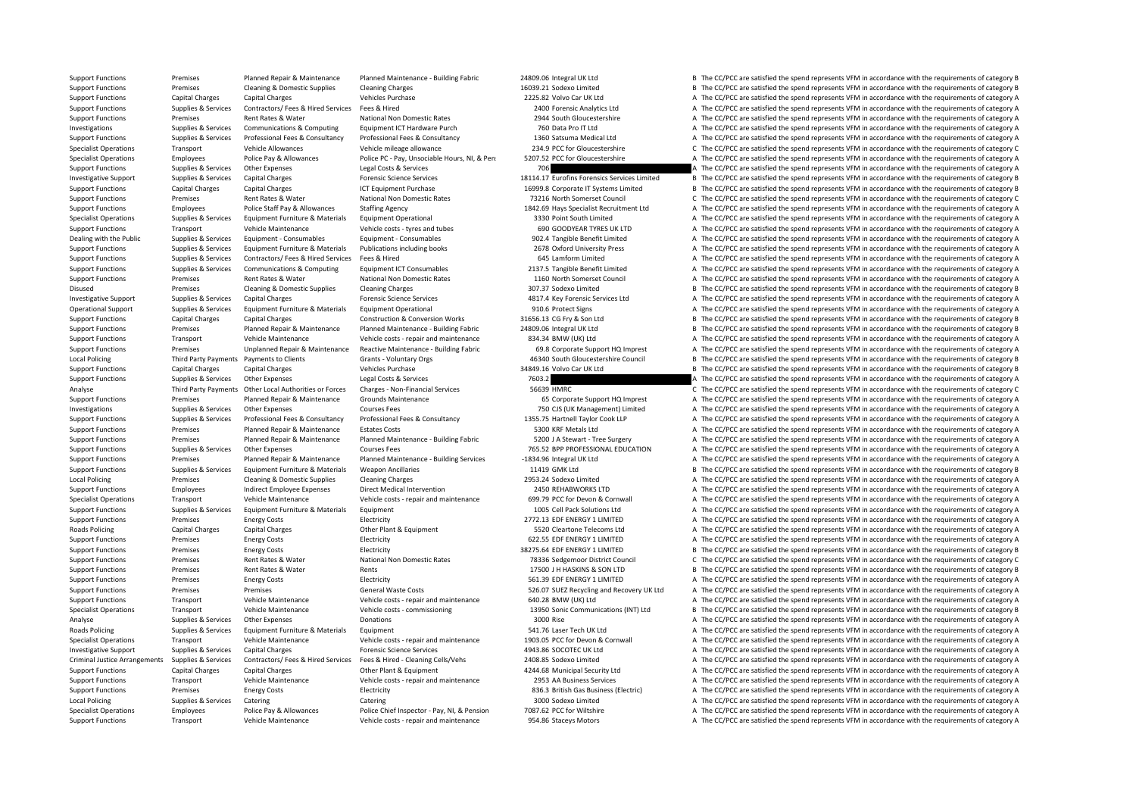Support Functions Premises Planned Repair & Maintenance Planned Maintenance - Building Fabric 24809.06 Integral UK Ltd B The CC/PCC are satisfied the spend represents VFM in accordance with the requirements of category B Support Functions Premises Cleaning & Domestic Supplies Cleaning Charges 16039.21 Sodexo Limited B The CC/PCC are satisfied the spend represents VFM in accordance with the requirements of category B Support Functions Capital Charges Capital Charges Vehicles Purchase 2225.82 Volvo Car UK Itd A The CC/PCC are satisfied the spend represents VFM in accordance with the requirements of category A The CC/PCC are satisfied th Support Functions Supplies & Services Contractors/ Fees & Hired Services Fees & Hired 2400 Forensic Analytics Ltd A The CC/PCC are satisfied the spend represents VFM in accordance with the requirements of category A The CC Support Functions Premises Rent Rates & Water National Non Domestic Rates 2944 South Gloucestershire A The CC/PCC are satisfied the spend represents VFM in accordance with the requirements of category A Investigations Supplies & Services Communications & Computing Equipment ICT Hardware Purch 760 Data Pro IT Ltd A The CC/PCC are satisfied the spend represents VFM in accordance with the requirements of category A Support Functions Supplies & Services Professional Fees & Consultancy Professional Fees & Consultancy Professional Fees & Consultancy Professional Fees & Consultancy 1360 Satsuma Medical Ltd A The CC/PCC are satisfied the Specialist Operations Transport Vehicle Allowances Vehicle mileage allowance 234.9 PCC for Gloucestershire C The CC/PCC are satisfied the spend represents VFM in accordance with the requirements of category C Specialist Operations Employees Police Pay & Allowances Police PC - Pay, Unsociable Hours, NI, & Pen: 5207.52 PCC for Gloucestershire A The CC/PCC are satisfied the spend represents VFM in accordance with the requirements Support Functions Supplies & Services Other Expenses Legal Costs & Services 706 706 A The CC/PCC are satisfied the spend represents VFM in accordance with the requirements of category A Investigative Support Supplies & Services Capital Charges Forensic Science Services And the COVICE DESTIGATED BY The CC/PCC are satisfied the spend represents VFM in accordance with the requirements of category B Support Functions Capital Charges Capital Charges ICT Equipment Purchase 16999.8 Corporate IT Systems Limited B The CC/PCC are satisfied the spend represents VFM in accordance with the requirements of category B Support Functions Premises Rent Rates & Water National Non Domestic Rates 73216 North Somerset Council C The CC/PCC are satisfied the spend represents VFM in accordance with the requirements of category C Support Functions Employees Police Staff Pay & Allowances Staffing Agency 1842.69 Hays Specialist Recruitment Ltd A The CC/PCC are satisfied the spend represents VFM in accordance with the requirements of category A Specialist Operations Supplies & Services Equipment Furniture & Materials Equipment Operational 3330 Point South Limited A The CC/PCC are satisfied the spend represents VFM in accordance with the requirements of category A Support Functions Transport Vehicle Maintenance Vehicle costs - tyres and tubes 690 GOODYEAR TYRES UK LTD A The CC/PCC are satisfied the spend represents VFM in accordance with the requirements of category A Dealing with the Public Supplies & Services Equipment ‐ Consumables Equipment ‐ Consumables Equipment • Consumables Equipments of category A The CC/PCC are satisfied the spend represents VFM in accordance with the requirem Support Functions Supplies & Services Equipment Furniture & Materials Publications including books 2678 Oxford University Press A The CC/PCC are satisfied the spend represents VFM in accordance with the requirements of cat Support Functions Supplies & Services Contractors/ Fees & Hired Services Fees & Hired Services Fees & Hired 645 Lamform Limited A The CC/PCC are satisfied the spend represents VFM in accordance with the requirements of cat Support Functions Supplies & Services Communications & Computing Faujoment ICT Consumables 2137.5 Tangible Benefit Limited A The CC/PCC are satisfied the spend represents VFM in accordance with the requirements of category Support Functions Premises Rent Rates & Water National Non Domestic Rates 1160 North Somerset Council A The CC/PCC are satisfied the spend represents VFM in accordance with the requirements of category A Disused Premises Cleaning & Domestic Supplies Cleaning Charges 207.37 Sodexo Limited B The CC/PCC are satisfied the spend represents VFM in accordance with the requirements of category B Investigative Support Supplies & Services Capital Charges Forensic Science Services A The CC/PCC are satisfied the spend represents VFM in accordance with the requirements of category A Operational Support Supplies & Services Equipment Furniture & Materials Equipment Operational 910.6 Protect Signs A The CC/PCC are satisfied the spend represents VFM in accordance with the requirements of category A Support Functions Capital Charges Capital Charges Construction & Conversion Works 31656.13 CG Fry & Son Ltd B The CC/PCC are satisfied the spend represents VFM in accordance with the requirements of category B Support Functions Premises Planned Repair & Maintenance Planned Maintenance - Building Fabric 24809.06 Integral UK Ltd B The CC/PCC are satisfied the spend represents VFM in accordance with the requirements of category B Support Functions Transport Vehicle Maintenance Vehicle costs - repair and maintenance 834.34 BMW (UK) Ltd A The CC/PCC are satisfied the spend represents VFM in accordance with the requirements of category A Support Functions Premises Unplanned Repair & Maintenance Reactive Maintenance - Building Fabric 69.8 Corporate Support HQ Imprest A The CC/PCC are satisfied the spend represents VFM in accordance with the requirements of Local Policing Third Party Payments Payments to Clients Grants - Voluntary Orgs 46340 South Gloucestershire Council B The CC/PCC are satisfied the spend represents VFM in accordance with the requirements of category B Support Functions Capital Charges Capital Charges Vehicles Purchase Vehicles Purchase 34849.16 Volvo Car UK Ltd B The CC/PCC are satisfied the spend represents VFM in accordance with the requirements of category B Support Functions Supplies & Services Other Expenses Legal Costs & Services 7603.2 7603.2 A The CC/PCC are satisfied the spend represents VFM in accordance with the requirements of category A Analyse Third Party Payments Other Local Authorities or Forces Charges Non-Financial Services 56639 HMRC C The CC/PCC are satisfied the spend represents VFM in accordance with the requirements of category C Support Functions Premises Planned Repair & Maintenance Grounds Maintenance 65 Corporate Support HQ Imprest A The CC/PCC are satisfied the spend represents VFM in accordance with the requirements of category A Investigations Supplies & Services Other Expenses Courses Fees Courses Fees 750 CJS (UK Management) Limited A The CC/PCC are satisfied the spend represents VFM in accordance with the requirements of category A Supplies & Services Professional Fees & Consultancy Professional Fees & Consultancy Professional Fees & Consultancy Professional Fees & Consultancy Professional Fees & Consultancy Professional Fees & Consultancy 1355.75 Ha Support Functions Premises Planned Repair & Maintenance Estates Costs 5300 KRF Metals Ltd A The CC/PCC are satisfied the spend represents VFM in accordance with the requirements of category A Support Functions Premises Planned Repair & Maintenance Planned Maintenance - Building Fabric 5200 J A Stewart - Tree Surgery A The CC/PCC are satisfied the spend represents VFM in accordance with the requirements of categ Support Functions Supplies & Services Other Expenses Courses Fees 765.52 BPP PROFESSIONAL EDUCATION A The CC/PCC are satisfied the spend represents VFM in accordance with the requirements of category A Support Functions Premises Planned Repair & Maintenance Planned Maintenance - Building Services -1834.96 Integral UK Ltd A The CC/PCC are satisfied the spend represents VFM in accordance with the requirements of category A Support Functions Supplies & Services Equipment Furniture & Materials Weapon Ancillaries 11419 GMK Ltd B The CC/PCC are satisfied the spend represents VFM in accordance with the requirements of category B Local Policing Premises Cleaning & Domestic Supplies Cleaning Charges 2953.24 Sodexo Limited A The CC/PCC are satisfied the spend represents VFM in accordance with the requirements of category A Support Functions Employees Indirect Employee Expenses Direct Medical Intervention 2450 REHABWORKS LTD A The CC/PCC are satisfied the spend represents VFM in accordance with the requirements of category A Specialist Operations Transport Vehicle Maintenance Vehicle costs - repair and maintenance 699.79 PCC for Devon & Cornwall A The CC/PCC are satisfied the spend represents VFM in accordance with the requirements of category Support Functions Supplies & Services Foulyment Furniture & Materials Foulyment 1005 Cell Pack Solutions Ltd A The CC/PCC are satisfied the spend represents VFM in accordance with the requirements of category A Support Functions Premises Energy Costs Electricity Electricity 2772.13 EDF ENERGY 1 LIMITED A The CC/PCC are satisfied the spend represents VFM in accordance with the requirements of category A Roads Policing Capital Charges Capital Charges Other Plant & Equipment Charges Other Plant & Equipment 5520 Cleartone Telecoms Ltd A The CC/PCC are satisfied the spend represents VFM in accordance with the requirements of Support Functions Premises Energy Costs Electricity Electricity 622.55 EDF ENERGY 1 LIMITED A The CC/PCC are satisfied the spend represents VFM in accordance with the requirements of category A Support Functions Premises Energy Costs Electricity 38275.64 EDF ENERGY 1 LIMITED B The CC/PCC are satisfied the spend represents VFM in accordance with the requirements of category B Support Functions Premises Rent Rates & Water National Non Domestic Rates 78336 Sedgemoor District Council C The CC/PCC are satisfied the spend represents VFM in accordance with the requirements of category C Support Functions Premises Rent Rates & Water Rents Rents Rents Rents Rents Rents Rent Rents 17500 J H HASKINS & SON LTD B The CC/PCC are satisfied the spend represents VFM in accordance with the requirements of category B Support Functions Premises Energy Costs Electricity Electricity 561.39 EDF ENERGY 1 LIMITED A The CC/PCC are satisfied the spend represents VFM in accordance with the requirements of category A Support Functions Premises Premises Premises Seneral Waste Costs Seneral Waste Costs 526.07 SUEZ Recycling and Recovery UK Ltd A The CC/PCC are satisfied the spend represents VFM in accordance with the requirements of cate Support Functions Transport Vehicle Maintenance Vehicle costs ‐ repair and maintenance 640.28 BMW (UK) Ltd A The CC/PCC are satisfied the spend represents VFM in accordance with the requirements of category A Specialist Operations Transport Vehicle Maintenance Vehicle costs - commissioning 13950 Sonic Communications (INT) Ltd B The CC/PCC are satisfied the spend represents VFM in accordance with the requirements of category B Analyse Supplies & Services Other Expenses Donations Donations Supplies A The CC/PCC are satisfied the spend represents VFM in accordance with the requirements of category A Roads Policing Supplies & Services Equipment Furniture & Materials Equipment Supplies Equipment 541.76 Laser Tech UK Ltd A The CC/PCC are satisfied the spend represents VFM in accordance with the requirements of category A Specialist Operations Transport Vehicle Maintenance Vehicle Costs - repair and maintenance 1903.05 PCC for Devon & Cornwall A The CC/PCC are satisfied the spend represents VFM in accordance with the requirements of categor Investigative Support Supplies & Services Capital Charges Forensic Science Services A The CC/PCC are satisfied the spend represents VFM in accordance with the requirements of category A Criminal Justice Arrangements Supplies & Services Contractors/ Fees & Hired Services Fees & Hired Services Fees & Hired Services Fees & Hired - Cleaning Cells/Vehs 2408.85 Sodexo Limited A The CC/PCC are satisfied the spen Support Functions Capital Charges Capital Charges Other Plant & Equipment 4244.68 Municipal Security Ltd A The CC/PCC are satisfied the spend represents VFM in accordance with the requirements of category A Support Functions Transport Vehicle Maintenance Vehicle costs - repair and maintenance 2953 AA Business Services A The CC/PCC are satisfied the spend represents VFM in accordance with the requirements of category A Support Functions Premises Energy Costs Electricity Electricity Bases Business (Electricity A The CC/PCC are satisfied the spend represents VFM in accordance with the requirements of category A Local Policing Supplies & Services Catering Catering Catering Catering Catering Catering Catering Catering Catering Catering Catering Supplies & Services Category A Catering Catering Catering Supplies and Category A The CC Specialist Operations Employees Police Pay & Allowances Police Chief Inspector - Pay, NJ, & Pension 7087.62 PCC for Wiltshire Are CC/PCC are satisfied the spend represents VFM in accordance with the requirements of categor Support Functions Transport Vehicle Maintenance Vehicle costs ‐ repair and maintenance 954.86 Staceys Motors A The CC/PCC are satisfied the spend represents VFM in accordance with the requirements of category A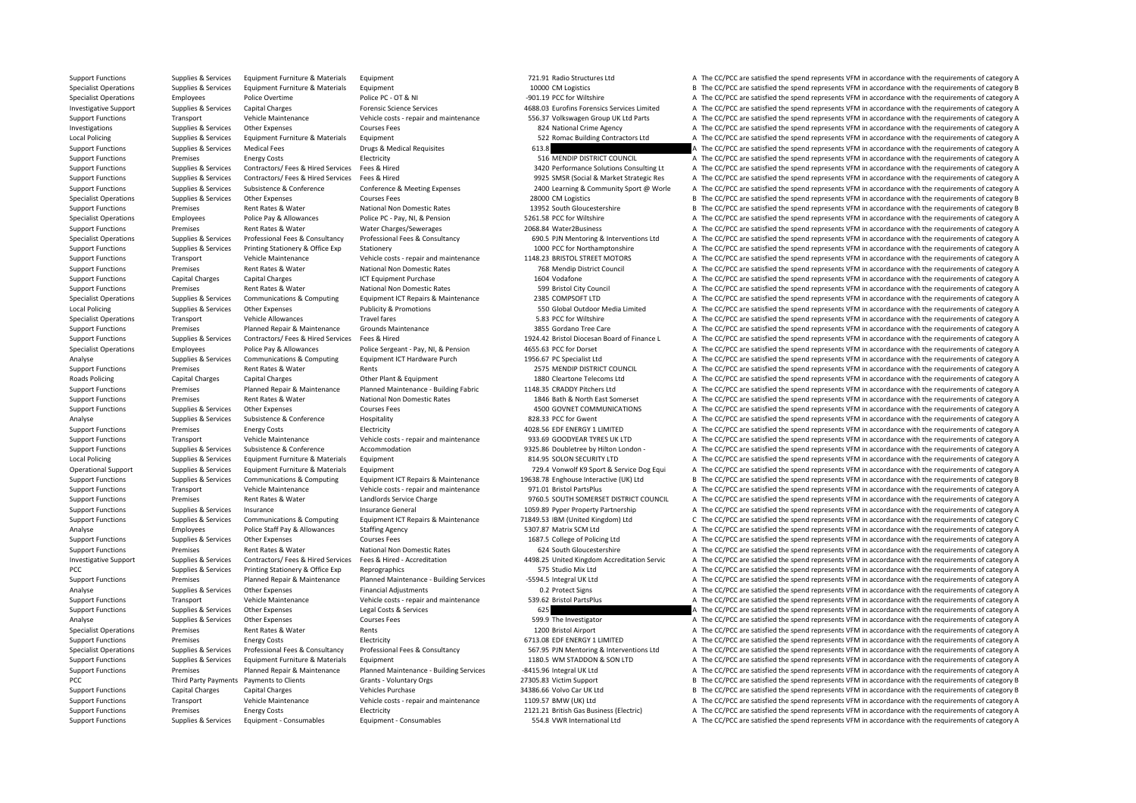Support Functions Supplies & Services Equipment Furniture & Materials Equipment 701.91 Radio Structures Ltd A The CC/PCC are satisfied the spend represents VFM in accordance with the requirements of category A Specialist Operations Supplies & Services Equipment Furniture & Materials Equipment Equipment Equipment Services Equipment Equipment Equipment Equipment Equipment Equipment Additional Content of Category B and the CC/PCC a Specialist Operations Employees Police Overtime Police PC • OT & NI •901.19 PCC for Wiltshire A The CC/PCC are satisfied the spend represents VFM in accordance with the requirements of category A The CC/PCC are satisfied t Investigative Sumplies Contribution Capital Charges Capital Charges Forencic Science Science Science Sciences Contribution and the COPC are satisfied the spending particular process (Science Sumplies A Services Capital Cha Support Functions Transport Vehicle Maintenance Vehicle costs - repair and maintenance S56.37 Volkswagen Group UK Ltd Parts A The CC/PCC are satisfied the spend represents VFM in accordance with the requirements of categor Investigations Supplies & Services Other Expenses Courses Fees Courses Fees and Sample and Sample Agency A The CC/PCC are satisfied the spend represents VFM in accordance with the requirements of category A Local Policing Local Policing Supplies & Services Equipment Furniture & Materials Equipment Supplierials Equipment Supplies A The CC/PCC are satisfied the spend represents VFM in accordance with the requirements of category A The CC/PCC Support Functions Supplies & Services Medical Fees Drugs & Medical Requisites 613.8 A The CC/PCC are satisfied the spend represents VFM in accordance with the requirements of category A Support Functions Premises Energy Costs Electricity Electricity Support The CC/PCC are satisfied the spend represents VFM in accordance with the requirements of category A Supplies & Services Contractors/ Fees & Hired Services Fees & Hired Microphysics Fees & Hired Microphysics Research Microphysics and the CC/PCC are satisfied the spend represents VFM in accordance with the requirements of Supplies & Services Contractors/ Fees & Hired Services Fees & Hired Services Fees & Hired Services Fees & Hired Services Fees & Hired Services Fees & Hired Services Fees & Hired Services Fees & Hired Services Services Pees Supplies & Services Subsistence & Conference Conference Conference Subseting Expenses 2400 Learning & Community Sport @ Worle A The CC/PCC are satisfied the spend represents VFM in accordance with the requirements of categ Specialist Operations Supplies & Services Other Expenses Courses Fees 28000 CM Logistics 28000 CM Logistics B The CC/PCC are satisfied the spend represents VFM in accordance with the requirements of category B Support Functions Premises Rent Rates & Water National Non Domestic Rates 13952 South Gloucestershire B The CC/PCC are satisfied the spend represents VFM in accordance with the requirements of category B Specialist Operations Employees Police Pay & Allowances Police PC - Pay, NI, & Pension 5261.58 PCC for Wiltshire A The CC/PCC are satisfied the spend represents VFM in accordance with the requirements of category A Support Functions Premises Rent Rates & Water Water Charges/Sewerages 2068.84 Water2Business A The CC/PCC are satisfied the spend represents VFM in accordance with the requirements of category A Supplies & Services Professional Fees & Consultancy Professional Fees & Consultancy Professional Fees & Consultancy Professional Fees & Consultancy Consultancy and Equipments & Interventions Ltd A The CC/PCC are satisfied Support Functions Supplies & Services Printing Stationery & Office Exp Stationery stationery 1000 PCC for Northamptonshire A The CC/PCC are satisfied the spend represents VFM in accordance with the requirements of category Support Functions Transport Vehicle Maintenance Vehicle costs - repair and maintenance 1148.23 BRISTOL STREET MOTORS A The CC/PCC are satisfied the spend represents VFM in accordance with the requirements of category A Support Functions Premises Rent Rates & Water National Non Domestic Rates 768 Mendip District Council A The CC/PCC are satisfied the spend represents VFM in accordance with the requirements of category A Support Functions Capital Charges Capital Charges ICT Equipment Purchase 1604 Vodafone 1604 Vodafone A The CC/PCC are satisfied the spend represents VFM in accordance with the requirements of category A Support Functions Premises Rent Rates & Water National Non Domestic Rates 599 Bristol City Council A The CC/PCC are satisfied the spend represents VFM in accordance with the requirements of category A Specialist Operations Supplies & Services Communications & Computing Equipment ICT Repairs & Maintenance 2385 COMPSOFT LTD A The CC/PCC are satisfied the spend represents VFM in accordance with the requirements of category Local Policing Supplies & Services Other Expenses Publicity & Promotions 550 Global Outdoor Media Limited A The CC/PCC are satisfied the spend represents VFM in accordance with the requirements of category A Specialist Operations Transport Vehicle Allowances Travel fares Travel fares Travel fares Travel fares Travel fares and The CC/PCC are satisfied the spend represents VFM in accordance with the requirements of category A Th Support Functions Premises Planned Repair & Maintenance Grounds Maintenance 3855 Gordano Tree Care A The CC/PCC are satisfied the spend represents VFM in accordance with the requirements of category A Support Functions Supplies & Services Contractors/ Fees & Hired Services Fees & Hired Mureos Eves & Hired Mureos Eves & Hired Mureos 2024.42 Britol Diocesan Board of Finance L A The CC/PCC are satisfied the spend represent Specialist Operations Employees Police Pay & Allowances Police Sergeant - Pay, NI, & Pension 4655.63 PCC for Dorset A The CC/PCC are satisfied the spend represents VFM in accordance with the requirements of category A Analyse Supplies & Services Communications & Computing Equipment ICT Hardware Purch 1956.67 PC Specialist Ltd A The CC/PCC are satisfied the spend represents VFM in accordance with the requirements of category A Support Functions Premises Rent Rates & Water Rents Rents Rents Rents 2575 MENDIP DISTRICT COUNCIL A The CC/PCC are satisfied the spend represents VFM in accordance with the requirements of category A Roads Policing Capital Charges Capital Charges Other Plant & Foujoment 1880 Cleartone Telecoms Ltd A The CC/PCC are satisfied the spend represents VFM in accordance with the requirements of category A Support Functions Premises Planned Repair & Maintenance Planned Maintenance - Building Fabric 1148.35 CRADDY Pitchers Ltd A The CC/PCC are satisfied the spend represents VFM in accordance with the requirements of category Support Functions Premises Rent Rates & Water National Non Domestic Rates 1846 Bath & North East Somerset A The CC/PCC are satisfied the spend represents VFM in accordance with the requirements of category A Support Functions Supplies & Services Other Expenses Courses Fees Courses Fees 4500 GOVNET COMMUNICATIONS A The CC/PCC are satisfied the spend represents VFM in accordance with the requirements of category A Analyse Supplies & Services Subsistence & Conference Hospitality Hospitality 828.33 PCC for Gwent A The CC/PCC are satisfied the spend represents VFM in accordance with the requirements of category A Support Functions Premises Energy Costs Electricity Electricity and the Support of Costs and the CC/PCC are satisfied the spend represents VFM in accordance with the requirements of category A Support Functions Transport Vehicle Maintenance Vehicle costs ‐ repair and maintenance 933.69 GOODYEAR TYRES UK LTD A The CC/PCC are satisfied the spend represents VFM in accordance with the requirements of category A Support Functions Supplies & Services Subsistence & Conference Accommodation Accommodation 9325.86 Doubletree by Hilton London - A The CC/PCC are satisfied the spend represents VFM in accordance with the requirements of ca Local Policing Supplies & Services Equipment Furniture & Materials Equipment Supplies Equipment Burniture & Materials Equipment Supplies Equipments of category A The CC/PCC are satisfied the spend represents VFM in accorda Operational Support Supplies & Services Equipment Furniture & Materials Equipment Equipment Support Materials Equipment Support Requipment Support Materials Parameter of category A 729.4 Vonwolf K9 Sport & Service Dog Equi Support Functions Supplies & Services Communications & Computing Equipment ICT Repairs & Maintenance 19638.78 Enghouse Interactive (UK) Ltd B The CC/PCC are satisfied the spend represents VFM in accordance with the require Support Functions Transport Vehicle Maintenance Vehicle costs ‐ repair and maintenance 971.01 Bristol PartsPlus A The CC/PCC are satisfied the spend represents VFM in accordance with the requirements of category A Support Functions Premises Rent Rates & Water Landlords Service Charge 9760.5 SOUTH SOMERSET DISTRICT COUNCIL A The CC/PCC are satisfied the spend represents VFM in accordance with the requirements of category A Support Functions Supplies & Services Insurance Services Insurance General 1059.89 Pyper Property Partnership A The CC/PCC are satisfied the spend represents VFM in accordance with the requirements of category A Support Functions Supplies & Services Communications & Computing Equipment ICT Repairs & Maintenance 71849.53 IBM (United Kingdom) Ltd C/PCC are satisfied the spend represents VFM in accordance with the requirements of cat Analyse Employees Police Staff Pay & Allowances Staffing Agency Staffing Agency 5307.87 Matrix SCM Ltd A The CC/PCC are satisfied the spend represents VFM in accordance with the requirements of category A Support Functions Supplies & Services Other Expenses Courses Fees Courses Fees 1687.5 College of Policing Ltd A The CC/PCC are satisfied the spend represents VFM in accordance with the requirements of category A Support Functions Premises Rent Rates & Water National Non Domestic Rates 624 South Gloucestershire A The CC/PCC are satisfied the spend represents VFM in accordance with the requirements of category A Investigative Support Supplies & Services Contractors/ Fees & Hired Services Fees & Hired Services Fees & Hired Accreditation Accreditation Service Manual Kippon Accreditation Servic A The CC/PCC are satisfied the spend re PCC Supplies & Services Printing Stationery & Office Exp Reprographics 575 Studio Mix Ltd A The CC/PCC are satisfied the spend represents VFM in accordance with the requirements of category A Support Functions Premises Planned Repair & Maintenance Planned Maintenance - Building Services -5594.5 Integral UK Ltd A The CC/PCC are satisfied the spend represents VFM in accordance with the requirements of category A Analyse Supplies & Services Other Expenses Financial Adjustments Financial Adjustments A The CC/PCC are satisfied the spend represents VFM in accordance with the requirements of category A Support Functions Transport Vehicle Maintenance Vehicle costs ‐ repair and maintenance 539.62 Bristol PartsPlus A The CC/PCC are satisfied the spend represents VFM in accordance with the requirements of category A Support Functions Supplies & Services Other Expenses Legal Costs & Services 625 625 A The CC/PCC are satisfied the spend represents VFM in accordance with the requirements of category A Analyse Supplies & Services Other Expenses Courses Fees Courses Fees 599.9 The Investigator A The CC/PCC are satisfied the spend represents VFM in accordance with the requirements of category A Specialist Operations Premises Rent Rates & Water Rents Rents Rents Rents A The CC/PCC are satisfied the spend represents VFM in accordance with the requirements of category A Support Functions Premises Energy Costs Electricity Electricity **Electricity** 6713.08 EDF ENERGY 1 LIMITED A The CC/PCC are satisfied the spend represents VFM in accordance with the requirements of category A Specialist Operations Supplies & Services Professional Fees & Consultancy Professional Fees & Consultancy Professional Fees & Consultancy Professional Fees & Consultancy Professional Fees & Consultancy Professional Fees & Support Functions Supplies & Services Equipment Furniture & Materials Equipment 1180.5 WM STADDON & SON LTD A The CC/PCC are satisfied the spend represents VFM in accordance with the requirements of category A Support Functions Premises Planned Repair & Maintenance Planned Maintenance - Building Services -8415.96 Integral UK Itd A The CC/PCC are satisfied the spend represents VFM in accordance with the requirements of category A PCC Third Party Payments Payments to Clients Grants - Voluntary Orgs 27305.83 Victim Support B The CC/PCC are satisfied the spend represents VFM in accordance with the requirements of category B Support Functions Capital Charges Capital Charges Vehicles Purchase Vehicles Purchase 34386.66 Volvo Car UK Ltd B The CC/PCC are satisfied the spend represents VFM in accordance with the requirements of category B Support Functions Transport Vehicle Maintenance Vehicle costs - repair and maintenance 1109.57 BMW (UK) Ltd A The CC/PCC are satisfied the spend represents VFM in accordance with the requirements of category A Support Functions Premises Fuergy Costs Functions Electricity Electricity 2121.21 British Gas Business (Electric) A The CC/PCC are satisfied the spend represents VFM in accordance with the requirements of category A Support Functions Supplies & Services Equipment ‐ Consumables Equipment ‐ Consumables Equipment • Consumables Equipment • Consumables Equipment • Consumables Equipment • Consumables 554.8 VWR International Ltd A The CC/PCC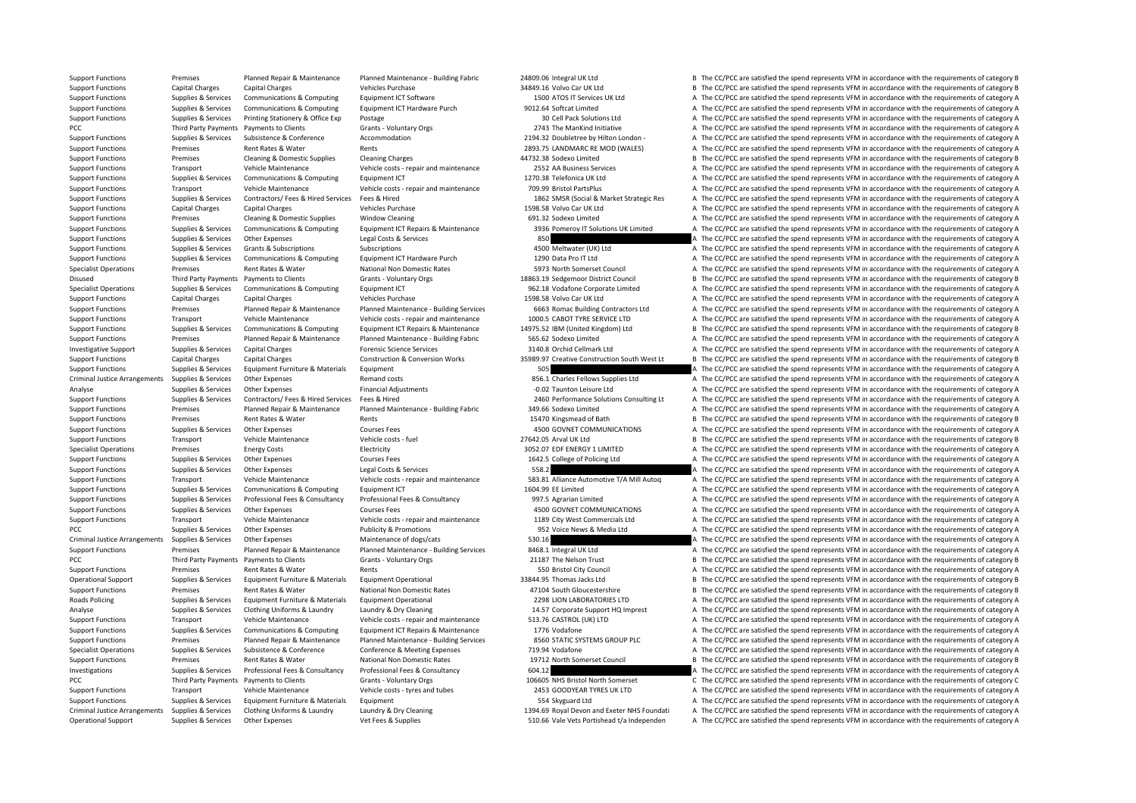Operational Support Supplies & Services Other Expenses Vet Fees & Supplies Vet Fees & Supplies 510.66 Vale Vets Portishead t/a Independen A The CC/PCC are satisfied the spend represents VFM in accordance with the requireme

Support Functions Premises Planned Repair & Maintenance Planned Maintenance - Building Fabric 24809.06 Integral UK Ltd B The CC/PCC are satisfied the spend represents VFM in accordance with the requirements of category B Support Functions Capital Charges Capital Charges Vehicles Purchase Vehicles Purchase 34849.16 Volvo Car UK Ltd B The CC/PCC are satisfied the spend represents VFM in accordance with the requirements of category B Support Support Functions Supplies & Services Communications & Computing Faulthenor Functions and The COMPUT ICT Services UK Ltd A The CC/PCC are satisfied the spend represents VFM in accordance with the requirements of category A Support Functions Supplies & Services Communications & Computing Equipment ICT Hardware Purch 9012.64 Softcat Limited A The CC/PCC are satisfied the spend represents VFM in accordance with the requirements of category A Th Support Functions Supplies & Services Printing Stationery & Office Exp Postage 30 Cell Pack Solutions Ltd A The CC/PCC are satisfied the spend represents VFM in accordance with the requirements of category A PCC Third Party Payments Payments to Clients Crants - Voluntary Orgs 2743 The ManKind Initiative A The CC/PCC are satisfied the spend represents VFM in accordance with the requirements of category A Support Functions Supplies & Services Subsistence & Conference Accommodation 2194.32 Doubletree by Hilton London • A The CC/PCC are satisfied the spend represents VFM in accordance with the requirements of category A Support Functions Premises Rent Rates & Water Rents Rents Rents Rents 2893.75 LANDMARC RE MOD (WALES) A The CC/PCC are satisfied the spend represents VFM in accordance with the requirements of category A Support Functions Premises Cleaning & Domestic Supplies Cleaning Charges A4732.38 Sodexo Limited B The CC/PCC are satisfied the spend represents VFM in accordance with the requirements of category B Support Functions Transport Vehicle Maintenance Vehicle costs - repair and maintenance 2552 AA Business Services A The CC/PCC are satisfied the spend represents VFM in accordance with the requirements of category A Support Functions Supplies & Services Communications & Computing Equipment ICT 1270.38 Telefonica UK Ltd A The CC/PCC are satisfied the spend represents VFM in accordance with the requirements of category A Support Functions Transport Vehicle Maintenance Vehicle costs ‐ repair and maintenance 709.99 Bristol PartsPlus A The CC/PCC are satisfied the spend represents VFM in accordance with the requirements of category A Supplies & Services Contractors/ Fees & Hired Services Fees & Hired New Elect of The CC/PCC are satisfied the soend represents VFM in accordance with the requirements of category A Support Functions Capital Charges Capital Charges Vehicles Purchase Vehicles Purchase 1598.58 Volvo Car UK Ltd A The CC/PCC are satisfied the spend represents VFM in accordance with the requirements of category A Support Functions Premises Cleaning & Domestic Supplies Window Cleaning Cleaning 691.32 Sodexo Limited A The CC/PCC are satisfied the spend represents VFM in accordance with the requirements of category A Support Functions Supplies & Services Communications & Computing Equipment ICT Repairs & Maintenance 3936 Pomeroy IT Solutions UK Limited A The CC/PCC are satisfied the spend represents VFM in accordance with the requireme Support Functions Supplies & Services Other Expenses Legal Costs & Services 850 A The CC/PCC are satisfied the spend represents VFM in accordance with the requirements of category A Support Functions Supplies & Services Grants & Subscriptions Subscriptions Subscriptions Subscriptions Subscriptions A The CC/PCC are satisfied the spend represents VFM in accordance with the requirements of category A Support Functions Supplies & Services Communications & Computing Equipment ICT Hardware Purch 1290 Data Pro IT Ltd A The CC/PCC are satisfied the spend represents VFM in accordance with the requirements of category A Specialist Operations Premises Rent Rates Rent Rates National Non Domestic Rates 5973 North Somerset Council A The CC/PCC are satisfied the spend represents VFM in accordance with the requirements of category A Disused Third Party Payments Payments to Clients Grants - Voluntary Orgs 18863.19 Sedgemoor District Council B The CC/PCC are satisfied the spend represents VFM in accordance with the requirements of category B Specialist Operations Supplies & Services Communications & Computing Equipment ICT 962.18 Vodafone Corporate Limited A The CC/PCC are satisfied the spend represents VFM in accordance with the requirements of category A Support Functions Capital Charges Capital Charges Vehicles Purchase Vehicles Purchase 1598.58 Volvo Car UK Ltd A The CC/PCC are satisfied the spend represents VFM in accordance with the requirements of category A Sunnort Eunctions Transfer Promises Planned Repair & Maintenance Planned Maintenance - Building Services 6663 Romar Building Contractors Itd A The CC/PCC are satisfied the spend represents VFM in accordance with the requir Support Functions Transport Vehicle Maintenance Vehicle costs ‐ repair and maintenance 1000.5 CABOT TYRE SERVICE LTD A The CC/PCC are satisfied the spend represents VFM in accordance with the requirements of category A Support Functions Supplies & Services Communications & Computing Equipment ICT Repairs & Maintenance 14975.52 IBM (United Kingdom) Ltd B The CC/PCC are satisfied the spend represents VFM in accordance with the requirements Support Functions Premises Planned Repair & Maintenance Planned Maintenance - Building Fabric 565.62 Sodexo Limited A The CC/PCC are satisfied the spend represents VFM in accordance with the requirements of category A Investigative Support Supplies & Services Capital Charges Forensic Science Services 3140.8 Orchid Cellmark Ltd A The CC/PCC are satisfied the spend represents VFM in accordance with the requirements of category A The CC/PC Support Functions Capital Charges Capital Charges Construction & Conversion Works 35989.97 Creative Construction South West Lt B The CC/PCC are satisfied the spend represents VFM in accordance with the requirements of cate Support Functions Supplies & Services Equipment Furniture & Materials Equipment Support Functions and the CC/PCC are satisfied the spend represents VFM in accordance with the requirements of category A Criminal Justice Arrangements Supplies & Services Other Expenses Remand costs 856.1 Charles Fellows Supplies Ltd A The CC/PCC are satisfied the spend represents VFM in accordance with the requirements of category A Analyse Supplies Services Other Expenses Financial Adjustments – 0.02 Taunton Leisure Ltd A The CC/PCC are satisfied the spend represents VFM in accordance with the requirements of category A Supplies & Services Contractors/ Fees & Hired Services Fees & Hired Microphysics Fees & Hired Microphysics Research Microphysics 2460 Performance Solutions Consulting Lt A The CC/PCC are satisfied the spend represents VFM Support Functions Premises Planned Repair & Maintenance Planned Maintenance - Building Fabric 349.66 Sodexo Limited A The CC/PCC are satisfied the spend represents VFM in accordance with the requirements of category A Support Functions Premises Rent Rates & Water Rents Rents Rents Rents 15470 Kingsmead of Bath B The CC/PCC are satisfied the spend represents VFM in accordance with the requirements of category B Support Functions Supplies & Services Other Expenses Courses Fees 4500 GOVNET COMMUNICATIONS A The CC/PCC are satisfied the spend represents VFM in accordance with the requirements of category A Support Functions Transport Vehicle Maintenance Vehicle costs - fuel 27642.05 Arval UK Ltd B The CC/PCC are satisfied the spend represents VFM in accordance with the requirements of category B Specialist Operations Premises Energy Costs Electricity Electricity 3052.07 EDF ENERGY 1 LIMITED A The CC/PCC are satisfied the spend represents VFM in accordance with the requirements of category A Support Functions Supplies & Services Other Expenses Courses Fees Courses Fees 1642.5 College of Policing Ltd A The CC/PCC are satisfied the spend represents VFM in accordance with the requirements of category A Support Functions Supplies & Services Other Expenses Legal Costs & Services 558.2 558.2 A The CC/PCC are satisfied the spend represents VFM in accordance with the requirements of category A Support Functions Transport Vehicle Maintenance Vehicle costs - repair and maintenance S83.81 Alliance Automotive T/A Mill Autog A The CC/PCC are satisfied the spend represents VFM in accordance with the requirements of ca Support Functions Supplies & Services Communications & Computing Equipment ICT 1604.99 EE Limited 1604.99 EE Limited A The CC/PCC are satisfied the spend represents VFM in accordance with the requirements of category A Support Functions Supplies & Services Professional Fees & Consultancy Professional Fees & Consultancy Professional Fees & Consultancy Professional Fees & Consultancy Professional Fees & Consultancy Professional Fees & Cons Support Functions Supplies & Services Other Expenses Courses Fees Courses Fees 4500 GOVNET COMMUNICATIONS A The CC/PCC are satisfied the spend represents VFM in accordance with the requirements of category A Support Functions Transport Vehicle Maintenance Vehicle costs - repair and maintenance 1189 City West Commercials Ltd A The CC/PCC are satisfied the spend represents VFM in accordance with the requirements of category A PCC Supplies & Services Other Expenses Publicity & Promotions Publicity & Promotions 952 Voice News & Media Ltd A The CC/PCC are satisfied the spend represents VFM in accordance with the requirements of category A Criminal Justice Arrangements Supplies & Services Other Expenses Maintenance of dogs/cats Maintenance of dogs/cats 530.16 A The CC/PCC are satisfied the spend represents VFM in accordance with the requirements of category Support Functions Premises Planned Repair & Maintenance Planned Maintenance - Building Services 8468.1 Integral UK Itd A The CC/PCC are satisfied the spend represents VFM in accordance with the requirements of category A PCC Third Party Payments Payments to Clients Grants - Voluntary Orgs 21187 The Nelson Trust B The CC/PCC are satisfied the spend represents VFM in accordance with the requirements of category B Support Functions Premises Rent Rates & Water Rents Rents Rents Rents Rents Rent Rent Rent Rents Section City Council A The CC/PCC are satisfied the spend represents VFM in accordance with the requirements of category A Operational Support Supplies & Services Equipment Furniture & Materials Equipment Operational 33844.95 Thomas Jacks Ltd B The CC/PCC are satisfied the spend represents VFM in accordance with the requirements of category B Support Functions Premises Rent Rates & Water National Non Domestic Rates 47104 South Gloucestershire B The CC/PCC are satisfied the spend represents VFM in accordance with the requirements of category B Roads Policing Supplies & Services Equipment Furniture & Materials Equipment Operational 2298 LION LABORATORIES LTD A The CC/PCC are satisfied the spend represents VFM in accordance with the requirements of category A Analyse Supplies & Services Clothing Uniforms & Laundry Laundry & Dry Cleaning 14.57 Corporate Support HQ Imprest A The CC/PCC are satisfied the spend represents VFM in accordance with the requirements of category A Support Functions Transport Vehicle Maintenance Vehicle costs - repair and maintenance 513.76 CASTROL (UK) LTD A The CC/PCC are satisfied the spend represents VFM in accordance with the requirements of category A Support Functions Supplies & Services Communications & Computing Equipment ICT Repairs & Maintenance 1776 Vodafone A The CC/PCC are satisfied the spend represents VFM in accordance with the requirements of category A Support Functions Premises Planned Repair & Maintenance Planned Maintenance - Building Services 8560 STATIC SYSTEMS GROUP PLC A The CC/PCC are satisfied the spend represents VFM in accordance with the requirements of categ Specialist Operations Supplies & Services Subsistence & Conference Conference & Meeting Expenses 719.94 Vodafone A The CC/PCC are satisfied the spend represents VFM in accordance with the requirements of category A Support Functions Premises Rent Rates & Water National Non Domestic Rates 19712 North Somerset Council B The CC/PCC are satisfied the spend represents VFM in accordance with the requirements of category B Investigations Supplies & Services Professional Fees & Consultancy Professional Fees & Consultancy Professional Fees & Consultancy 604.12 604.12 A The CC/PCC are satisfied the spend represents VFM in accordance with the re PCC The CC/PCC are satisfied the spend represents VFM in accordance with the requirements of category C Grants - Voluntary Orgs 106605 NHS Bristol North Somerset C The CC/PCC are satisfied the spend represents VFM in accor Support Functions Transport Vehicle Maintenance Vehicle costs - tyres and tubes 2453 GOODYEAR TYRES UK LTD A The CC/PCC are satisfied the spend represents VFM in accordance with the requirements of category A Support Functions Supplies & Services Equipment Furniture & Materials Equipment Functions Equipment 554 Skyguard Ltd A The CC/PCC are satisfied the spend represents VFM in accordance with the requirements of category A Criminal Justice Arrangements Supplies & Services Clothing Uniforms & Laundry Laundry Bury Cleaning May Devolution 1394.69 Royal Devon and Exeter NHS Foundati A The CC/PCC are satisfied the spend represents VFM in accordan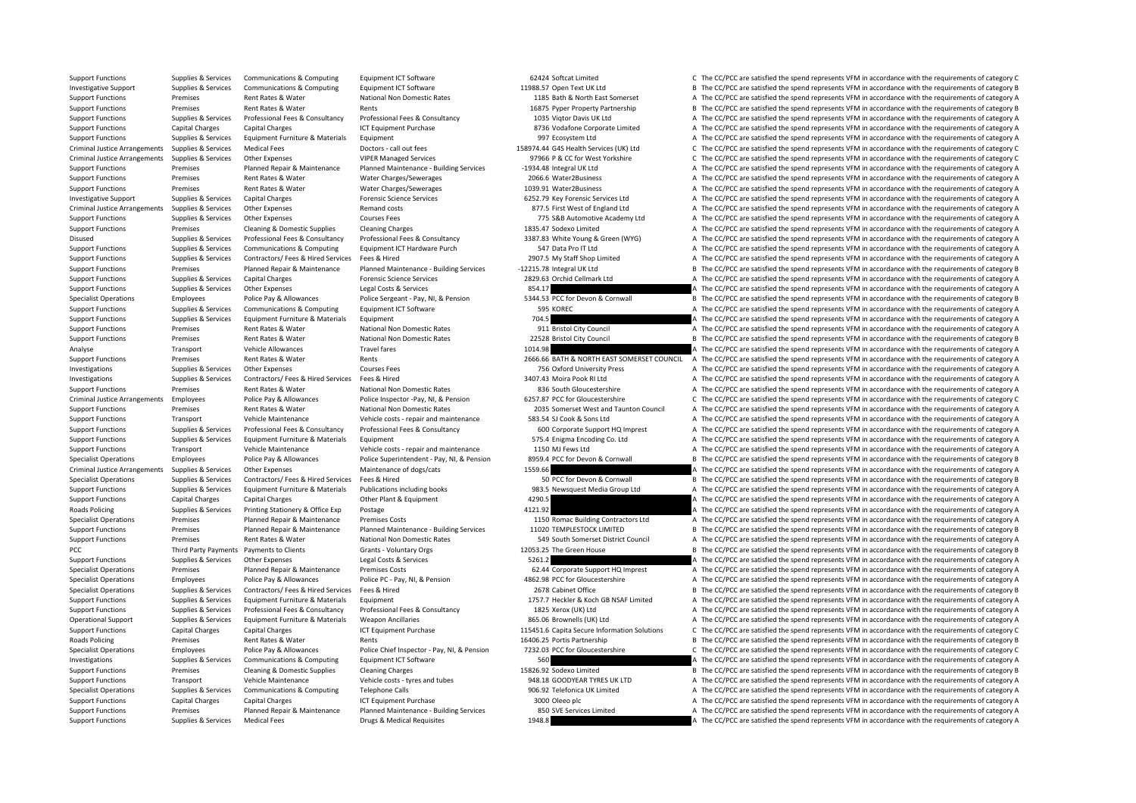Support Functions Supplies & Services Communications & Computing Equipment ICT Software 62424 Softcat Limited C The CC/PCC are satisfied the spend represents VFM in accordance with the requirements of category C Investigative Support Supplies & Services Communications & Computing Equipment ICT Software 11988.57 Open Text UK Ltd B The CC/PCC are satisfied the spend represents VFM in accordance with the requirements of category B Support Functions Premises Rent Rates Rent Rates National Non Domestic Rates 1185 Bath & North East Somerset A The CC/PCC are satisfied the spend represents VFM in accordance with the requirements of category A The CC/PCC Support Functions Premises Rent Rates & Water Rents Rents Rents and Rent Rates Rent Rates and the CC/PC are satisfied the spend represents VFM in accordance with the requirements of category B Support Functions Supplies & Services Professional Fees & Consultancy Professional Fees & Consultancy Professional Fees & Consultancy Professional Fees & Consultancy 1035 Vigtor Davis UK Ltd A The CC/PCC are satisfied the Support Functions Capital Charges Capital Charges ICT Equipment Purchase ICT Equipment Purchase 8736 Vodafone Corporate Limited A The CC/PCC are satisfied the spend represents VFM in accordance with the requirements of cat Support Functions Supplies & Services Equipment Furniture & Materials Equipment Antierials Equipment A The CC/PCC are satisfied the spend represents VFM in accordance with the requirements of category A The CC/PCC are sati Criminal Justice Arrangements Supplies & Services Medical Fees Doctors - call out fees 2007014 Call The Services Call out fees 258974.44 G4S Health Services (UK) Itd C. The CC/PCC are satisfied the spend represents VFM in Criminal Justice Arrangements Supplies & Services Other Expenses VIPER Managed Services 97966 P & CC for West Yorkshire C The CC/PCC are satisfied the spend represents VFM in accordance with the requirements of category C Support Functions Premises Planned Repair & Maintenance Planned Maintenance - Building Services -1934.48 Integral UK Ltd A The CC/PCC are satisfied the spend represents VFM in accordance with the requirements of category A Support Functions Premises Rent Rates & Water Water Charges/Sewerages 2066.6 Water2Business A The CC/PCC are satisfied the spend represents VFM in accordance with the requirements of category A Support Functions Premises Rent Rates & Water Water Charges/Sewerages 1039.91 Water2Business A The CC/PCC are satisfied the spend represents VFM in accordance with the requirements of category A Investigative Support Supplies & Services Capital Charges Forensic Science Services 6252.79 Key Forensic Services Ltd A The CC/PCC are satisfied the spend represents VFM in accordance with the requirements of category A Criminal Justice Arrangements Supplies & Services Other Expenses Remand costs Remand costs 877.5 First West of England Ltd A The CC/PCC are satisfied the spend represents VFM in accordance with the requirements of category Support Functions Supplies & Services Other Expenses Courses Fees Courses Fees 775 S&B Automotive Academy Ltd A The CC/PCC are satisfied the spend represents VFM in accordance with the requirements of category A Support Functions Premises Cleaning & Domestic Supplies Cleaning Charges 1835.47 Sodexo Limited A The CC/PCC are satisfied the spend represents VFM in accordance with the requirements of category A Supplies & Services Professional Fees & Consultancy Professional Fees & Consultancy Professional Fees & Consultancy Professional Fees & Consultancy 2387.83 White Young & Green (WYG) A The CC/PCC are satisfied the spend rep Support Functions Supplies & Services Communications & Computing Equipment ICT Hardware Purch 547 Data Pro IT Ltd A The CC/PCC are satisfied the spend represents VFM in accordance with the requirements of category A Support Functions Supplies & Services Contractors/ Fees & Hired Services Fees & Hired 2907.5 My Staff Shop Limited A The CC/PCC are satisfied the spend represents VFM in accordance with the requirements of category A Support Functions Premises Planned Repair & Maintenance Planned Maintenance - Building Services –12215.78 Integral UK Itd B The CC/PCC are satisfied the spend represents VFM in accordance with the requirements of category Support Functions Supplies & Services Capital Charges Forensic Science Services 2829.63 Orchid Cellmark Ltd A The CC/PCC are satisfied the spend represents VFM in accordance with the requirements of category A Support Functions Supplies & Services Other Expenses Legal Costs & Services 854.17 8654.17 A The CC/PCC are satisfied the spend represents VFM in accordance with the requirements of category A Specialist Operations Employees Police Pay & Allowances Police Sergeant - Pay, NI, & Pension 5344.53 PCC for Devon & Cornwall B The CC/PCC are satisfied the spend represents VFM in accordance with the requirements of categ Support Functions Supplies & Services Communications & Computing Equipment ICT Software 595 KOREC 595 KOREC A The CC/PCC are satisfied the spend represents VFM in accordance with the requirements of category A The CC/PCC a Support Functions Supplies & Services Equipment Furniture & Materials Equipment 704.5 2015 704.5 A The CC/PCC are satisfied the spend represents VFM in accordance with the requirements of category A Support Functions Premises Rent Rates & Water National Non Domestic Rates 911 Bristol City Council A The CC/PCC are satisfied the spend represents VFM in accordance with the requirements of category A Support Functions Premises Rent Rates & Water National Non Domestic Rates 22528 Bristol City Council B The CC/PCC are satisfied the spend represents VFM in accordance with the requirements of category B and the requirement Analyse Transport Vehicle Allowances Travel fares Travel fares and the CC/PCC are satisfied the spend represents VFM in accordance with the requirements of category A Support Functions Premises Rent Rates & Water Rents Rents Rents Rents 2666.66 BATH & NORTH EAST SOMERSET COUNCIL A The CC/PCC are satisfied the spend represents VFM in accordance with the requirements of category A Investigations Supplies & Services Other Expenses Courses Fees Courses Fees 756 Oxford University Press A The CC/PCC are satisfied the spend represents VFM in accordance with the requirements of category A Investigations Supplies & Services Contractors/ Fees & Hired Services Fees & Hired 3407.43 Moira Pook RI Itd A The CC/PCC are satisfied the spend represents VFM in accordance with the requirements of category A The CC/PCC Support Functions Premises Rent Rates & Water National Non Domestic Rates 836 South Gloucestershire A The CC/PCC are satisfied the spend represents VFM in accordance with the requirements of category A Criminal Justice Arrangements Employees Police Pay & Allowances Police Inspector -Pay, NI, & Pension 6257.87 PCC for Gloucestershire C. The CC/PCC are satisfied the spend represents VFM in accordance with the requirements Support Functions Premises Rent Rates & Water National Non Domestic Rates 2035 Somerset West and Taunton Council A The CC/PCC are satisfied the spend represents VFM in accordance with the requirements of category A Support Functions Transport Vehicle Maintenance Vehicle costs - repair and maintenance 583.54 SJ Cook & Sons Ltd A The CC/PCC are satisfied the spend represents VFM in accordance with the requirements of category A Supplies & Services Professional Fees & Consultancy Professional Fees & Consultancy Professional Fees & Consultancy Professional Fees & Consultancy Professional Fees & Consultancy Professional Fees & Consultancy Consultanc Support Functions Supplies & Services Equipment Furniture & Materials Equipment Support 575.4 Enigma Encoding Co. Ltd A The CC/PCC are satisfied the spend represents VFM in accordance with the requirements of category A Support Functions Transport Vehicle Maintenance Vehicle costs ‐ repair and maintenance 1150 MJ Fews Ltd A The CC/PCC are satisfied the spend represents VFM in accordance with the requirements of category A Specialist Operations Employees Police Pay & Allowances Police Superintendent - Pay, NJ, & Pension 8959.4 PCC for Devon & Cornwall B The CC/PCC are satisfied the spend represents VFM in accordance with the requirements of Criminal Justice Arrangements Supplies & Services Other Expenses Maintenance of dogs/cats Maintenance of dogs/cats 1559.66 A The CC/PCC are satisfied the spend represents VFM in accordance with the requirements of category Specialist Operations Supplies & Services Contractors/ Fees & Hired Services Fees & Hired Services Fees & Hired Services Fees & Hired Services Fees & Hired Services Fees & Hired Services Fees & Hired Services Services Fees Support Functions Supplies & Services Equipment Furniture & Materials Publications including books 983.5 Newsquest Media Group Ltd A The CC/PCC are satisfied the spend represents VFM in accordance with the requirements of Support Functions Capital Charges Capital Charges Other Plant & Equipment 4290.5 A The CC/PCC are satisfied the spend represents VFM in accordance with the requirements of category A Roads Policing Supplies & Services Printing Stationery & Office Exp Postage 4121.92 4121.92 A The CC/PCC are satisfied the spend represents VFM in accordance with the requirements of category A Specialist Operations Premises Planned Repair & Maintenance Premises Costs 1150 Romac Building Contractors Ltd A The CC/PCC are satisfied the spend represents VFM in accordance with the requirements of category A Superbuil Support Functions Premises Planned Repair & Maintenance Planned Maintenance - Building Services 11020 TEMPLESTOCK LIMITED B The CC/PCC are satisfied the spend represents VFM in accordance with the requirements of category Support Functions Premises Rent Rates Rent Rates National Non Domestic Rates 549 South Somerset District Council A The CC/PCC are satisfied the spend represents VFM in accordance with the requirements of category A PCC Third Party Payments Payments to Clients Grants - Voluntary Orgs 12053.25 The Green House B The CC/PCC are satisfied the spend represents VFM in accordance with the requirements of category B Support Functions Supplies & Services Other Expenses Legal Costs & Services 5261.2 Services Supplies and The CC/PCC are satisfied the spend represents VFM in accordance with the requirements of category A Specialist Operations Premises Planned Repair & Maintenance Premises Costs 62.44 Corporate Support HQ Imprest A The CC/PCC are satisfied the spend represents VFM in accordance with the requirements of category A Specialist Operations Employees Police Pay & Allowances Police PC - Pay, NI, & Pension 4862.98 PCC for Gloucestershire A The CC/PCC are satisfied the spend represents VFM in accordance with the requirements of category A Specialist Operations Supplies & Services Contractors/ Fees & Hired Services Fees & Hired Services Fees & Hired 2678 Cabinet Office B The CC/PCC are satisfied the spend represents VFM in accordance with the requirements of Support Functions Supplies & Services Equipment Furniture & Materials Equipment 1757.7 Heckler & Koch GB NSAF Limited A The CC/PCC are satisfied the spend represents VFM in accordance with the requirements of category A Support Functions Supplies & Services Professional Fees & Consultancy Professional Fees & Consultancy Professional Fees & Consultancy Professional Fees & Consultancy Professional Fees & Consultancy 1825 Xerox (UK) Ltd A Th Operational Support Supplies & Services Equipment Furniture & Materials Weapon Ancillaries 865.06 Brownells (UK) Ltd A The CC/PCC are satisfied the spend represents VFM in accordance with the requirements of category A Support Functions Capital Charges Capital Charges ICT Equipment Purchase 115451.6 Capita Secure Information Solutions C The CC/PCC are satisfied the spend represents VFM in accordance with the requirements of category C Roads Policing Premises Rent Rates & Water Rents Rents Rents Rents are a many partnership B The CC/PCC are satisfied the spend represents VFM in accordance with the requirements of category B Specialist Operations Employees Police Pay & Allowances Police Chief Inspector - Pay, NI, & Pension 7232.03 PCC for Gloucestershire C/PCC are satisfied the spend represents VFM in accordance with the requirements of catego Investigations Supplies & Services Communications & Computing Equipment ICT Software 560 560 A The CC/PCC are satisfied the spend represents VFM in accordance with the requirements of category A Support Functions Premises Cleaning & Domestic Supplies Cleaning Charges 15826.92 Sodexo Limited B The CC/PCC are satisfied the spend represents VFM in accordance with the requirements of category B Support Functions Transport Vehicle Maintenance Vehicle costs - tyres and tubes 948.18 GOODYEAR TYRES UK LTD A The CC/PCC are satisfied the spend represents VFM in accordance with the requirements of category A Specialist Operations Supplies & Services Communications & Computing Telephone Calls 906.92 Telefonica UK Limited A The CC/PCC are satisfied the spend represents VFM in accordance with the requirements of category A Support Functions Capital Charges Capital Charges ICT Equipment Purchase ICT Equipment Purchase 3000 Oleeo plc A The CC/PCC are satisfied the spend represents VFM in accordance with the requirements of category A Support Functions Premises Planned Repair & Maintenance Planned Maintenance - Building Services 850 SVE Services Limited A The CC/PCC are satisfied the spend represents VFM in accordance with the requirements of category A Support Functions Supplies & Services Medical Fees Drugs & Medical Requisites 1948.8 A The CC/PCC are satisfied the spend represents VFM in accordance with the requirements of category A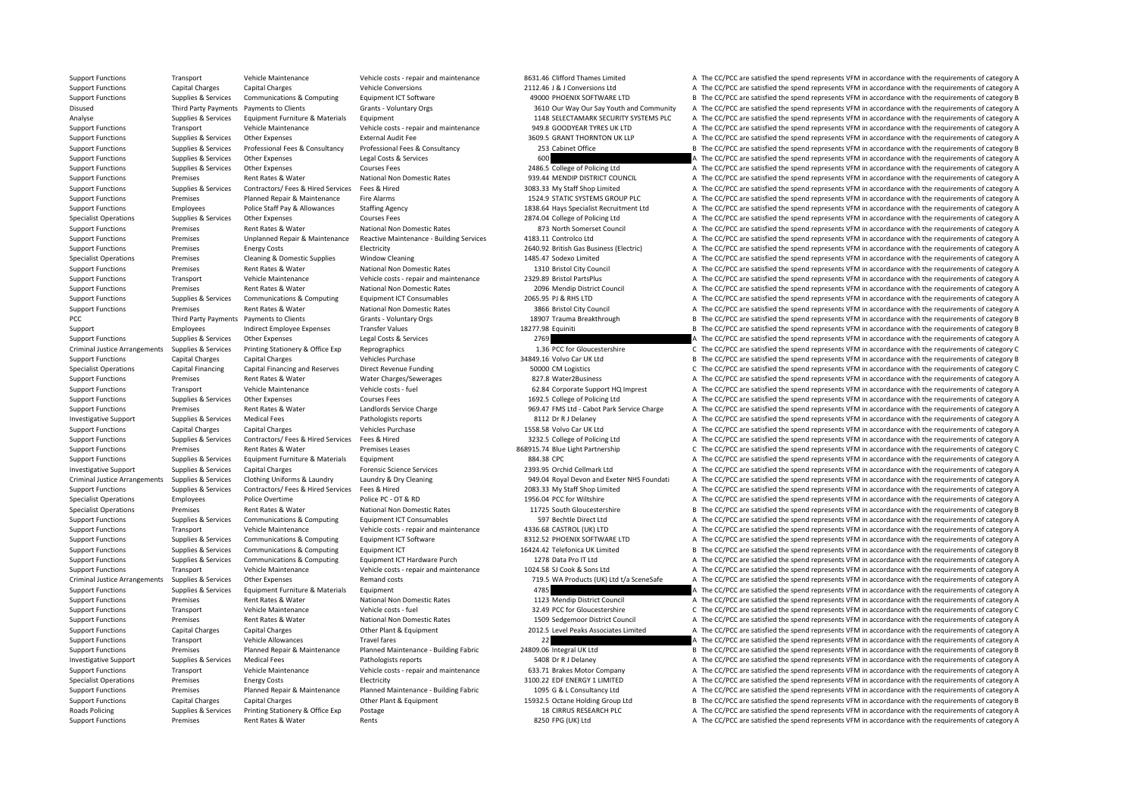Support Functions Transport Vehicle Maintenance Vehicle costs - repair and maintenance 8631.46 Clifford Thames Limited A The CC/PCC are satisfied the spend represents VFM in accordance with the requirements of category A Support Functions Capital Charges Capital Charges Vehicle Conversions Vehicle Conversions 2112.46 J & J Conversions Ltd A The CC/PCC are satisfied the spend represents VFM in accordance with the requirements of category A Support Functions Supplies & Services Communications & Computing Equipment ICT Software 49000 PHOENIX SOFTWARE LTD B The CC/PCC are satisfied the spend represents VFM in accordance with the requirements of category B Disused Third Party Payments Payments to Clients Grants Voluntary Orgs 3610 Our Way Our Say Youth and Community A The CC/PCC are satisfied the spend represents VFM in accordance with the requirements of category A Analyse Supplies & Services Equipment Furniture & Materials Equipment 1148 SELECTAMARK SECURITY SYSTEMS PLC A The CC/PCC are satisfied the spend represents VFM in accordance with the requirements of category A Support Functions Transport Vehicle Maintenance Vehicle costs ‐ repair and maintenance 949.8 GOODYEAR TYRES UK LTD A The CC/PCC are satisfied the spend represents VFM in accordance with the requirements of category A Support Functions Supplies & Services Other Expenses External Audit Fee 3609.5 GRANT THORNTON UK LLP A The CC/PCC are satisfied the spend represents VFM in accordance with the requirements of category A Support Functions Supplies & Services Professional Fees & Consultancy Professional Fees & Consultancy Professional Fees & Consultancy Professional Fees & Consultancy 253 Cabinet Office B The CC/PCC are satisfied the spend Support Functions Supplies & Services Other Expenses Legal Costs & Services 600 600 A The CC/PCC are satisfied the spend represents VFM in accordance with the requirements of category A Support Functions Supplies & Services Other Expenses Courses Fees 2486.5 College of Policing Ltd A The CC/PCC are satisfied the spend represents VFM in accordance with the requirements of category A Support Functions Premises Rent Rates & Water National Non Domestic Rates 939.44 MENDIP DISTRICT COUNCIL A The CC/PCC are satisfied the spend represents VFM in accordance with the requirements of category A Support Functions Supplies & Services Contractors/ Fees & Hired Services Fees & Hired 3083.33 My Staff Shop Limited A The CC/PCC are satisfied the spend represents VFM in accordance with the requirements of category A Support Functions Premises Planned Repair & Maintenance Fire Alarms 1524.9 STATIC SYSTEMS GROUP PLC A The CC/PCC are satisfied the spend represents VFM in accordance with the requirements of category A Support Functions Employees Police Staff Pay & Allowances Staffing Agency 1838.64 Hays Specialist Recruitment Ltd A The CC/PCC are satisfied the spend represents VFM in accordance with the requirements of category A Specialist Operations Supplies & Services Other Expenses Courses Fees Courses Fees 2874.04 College of Policing Ltd A The CC/PCC are satisfied the spend represents VFM in accordance with the requirements of category A Support Functions Premises Rent Rates & Water National Non Domestic Rates 873 North Somerset Council A The CC/PCC are satisfied the spend represents VFM in accordance with the requirements of category A Support Functions P Support Functions Premises Unplanned Repair & Maintenance Reactive Maintenance - Building Services 4183.11 Controlco Ltd A The CC/PCC are satisfied the spend represents VFM in accordance with the requirements of category A Support Functions Premises Energy Costs Electricity Electricity 2640.92 British Gas Business (Electricic) A The CC/PCC are satisfied the spend represents VFM in accordance with the requirements of category A Specialist Operations Premises Cleaning & Domestic Supplies Window Cleaning 1485.47 Sodexo Limited A The CC/PCC are satisfied the spend represents VFM in accordance with the requirements of category A Support Functions Premises Rent Rates & Water National Non Domestic Rates 1310 Bristol City Council A The CC/PCC are satisfied the spend represents VFM in accordance with the requirements of category A Support Functions Transport Vehicle Maintenance Vehicle costs - repair and maintenance 2329.89 Bristol PartsPlus A The CC/PCC are satisfied the spend represents VFM in accordance with the requirements of category A Support Functions Premises Rent Rates & Water National Non Domestic Rates 2096 Mendip District Council A The CC/PCC are satisfied the spend represents VFM in accordance with the requirements of category A Support Functions Supplies & Services Communications & Computing Equipment ICT Consumables 2065.95 PJ & RHS LTD A The CC/PCC are satisfied the spend represents VFM in accordance with the requirements of category A Support Functions Premises Rent Rates & Water National Non Domestic Rates 3866 Bristol City Council A The CC/PCC are satisfied the spend represents VFM in accordance with the requirements of category A PCC Third Party Payments Payments to Clients Grants - Voluntary Orgs 18907 Trauma Breakthrough B The CC/PCC are satisfied the spend represents VFM in accordance with the requirements of category B Support Employees Indirect Employee Expenses Transfer Values 18277.98 Equiniti 18277.98 Equiniti B The CC/PCC are satisfied the spend represents VFM in accordance with the requirements of category B Support Functions Supplies & Services Other Expenses Legal Costs & Services 2769 2769 A The CC/PCC are satisfied the spend represents VFM in accordance with the requirements of category A Criminal Justice Arrangements Supplies & Services Printing Stationery & Office Exp Reprographics exp Reprographics 1.36 PCC for Gloucestershire Criminal Justice Arrangements VFM in accordance with the requirements of categ Support Functions Capital Charges Capital Charges Vehicles Purchase Vehicles Purchase 34849.16 Volvo Car UK Ltd B The CC/PCC are satisfied the spend represents VFM in accordance with the requirements of category B Specialist Operations Capital Financing Capital Financing and Reserves Direct Revenue Funding SOOOD CM Logistics C The CC/PCC are satisfied the spend represents VFM in accordance with the requirements of category C Support Functions Premises Rent Rates & Water Water Charges/Sewerages A S27.8 Water2Business A The CC/PCC are satisfied the spend represents VFM in accordance with the requirements of category A Support Functions Transport Vehicle Maintenance Vehicle costs - fuel 62.84 Corporate Support HQ Imprest A The CC/PCC are satisfied the spend represents VFM in accordance with the requirements of category A Support Functions Supplies & Services Other Expenses Courses Fees Courses Fees 1692.5 College of Policing Ltd A The CC/PCC are satisfied the spend represents VFM in accordance with the requirements of category A Support Functions Premises Rent Rates & Water Landlords Service Charge 969.47 FMS Ltd - Cabot Park Service Charge A The CC/PCC are satisfied the spend represents VFM in accordance with the requirements of category A Investigative Support Supplies & Services Medical Fees Pathologists reports Pathologists reports 8112 Dr R J Delaney A The CC/PCC are satisfied the spend represents VFM in accordance with the requirements of category A Support Functions Capital Charges Capital Charges Vehicles Purchase 1558.58 Volvo Car UK Ltd A The CC/PCC are satisfied the spend represents VFM in accordance with the requirements of category A Support Functions Supplies & Services Contractors/ Fees & Hired Services Fees & Hired 3232.5 College of Policing Ltd A The CC/PCC are satisfied the spend represents VFM in accordance with the requirements of category A Support Functions Premises Premises Rent Rates & Water Premises Leases 868915.74 Blue Light Partnership C The CC/PCC are satisfied the spend represents VFM in accordance with the requirements of category C Support Functions Supplies & Services Equipment Furniture & Materials Equipment Burniture & Materials Equipment Support 884.38 CPC A The CC/PCC are satisfied the spend represents VFM in accordance with the requirements of Investigative Support Supplies & Services Capital Charges Forensic Science Services Provensic Science Services 2393.95 Orchid Cellmark Ltd A The CC/PCC are satisfied the spend represents VFM in accordance with the requirem Criminal Justice Arrangements Supplies & Services Clothing Uniforms & Laundry Laundry Bury Cleaning Supplies and Devon and Exeter NHS Foundati A The CC/PCC are satisfied the spend represents VFM in accordance with the requ Support Functions Supplies & Services Contractors/ Fees & Hired Services Fees & Hired 3083.33 My Staff Shop Limited A The CC/PCC are satisfied the spend represents VFM in accordance with the requirements of category A Specialist Operations Employees Police Overtime Police PC • OT & RD 1956.04 PCC for Wiltshire A The CC/PCC are satisfied the spend represents VFM in accordance with the requirements of category A Specialist Operations Premises Rent Rates & Water National Non Domestic Rates 11725 South Gloucestershire B The CC/PCC are satisfied the spend represents VFM in accordance with the requirements of category B Support Functions Supplies & Services Communications & Computing Equipment ICT Consumables 597 Bechtle Direct Ltd A The CC/PCC are satisfied the spend represents VFM in accordance with the requirements of category A Support Functions Transport Vehicle Maintenance Vehicle costs - repair and maintenance 4336.68 CASTROL (UK) LTD A The CC/PCC are satisfied the spend represents VFM in accordance with the requirements of category A Support Functions Supplies & Services Communications & Computing Equipment ICT Software 8312.52 PHOENIX SOFTWARE LTD A The CC/PCC are satisfied the spend represents VFM in accordance with the requirements of category A Support Functions Supplies & Services Communications & Computing Faultoment ICT 16424.42 Telefonica UK Limited B The CC/PCC are satisfied the spend represents VFM in accordance with the requirements of category B Support Functions Supplies & Services Communications & Computing Equipment ICT Hardware Purch 1278 Data Pro IT Ltd A The CC/PCC are satisfied the spend represents VFM in accordance with the requirements of category A Support Functions Transport Vehicle Maintenance Vehicle costs ‐ repair and maintenance 1024.58 SJ Cook & Sons Ltd A The CC/PCC are satisfied the spend represents VFM in accordance with the requirements of category A Criminal Justice Arrangements Supplies & Services Other Expenses Remand costs Remand costs Remand costs 719.5 WA Products (UK) Ltd t/a SceneSafe A The CC/PCC are satisfied the spend represents VFM in accordance with the re Support Functions Supplies & Services Equipment Furniture & Materials Equipment America Equipment 4785 A The CC/PCC are satisfied the spend represents VFM in accordance with the requirements of category A Support Functions Premises Rent Rates & Water National Non Domestic Rates 1123 Mendip District Council A The CC/PCC are satisfied the spend represents VFM in accordance with the requirements of category A Support Functions Transport Vehicle Maintenance Vehicle costs - fuel 32.49 PCC for Gloucestershire C/PCC are satisfied the spend represents VFM in accordance with the requirements of category C Support Functions Premises Rent Rates & Water National Non Domestic Rates 1509 Sedgemoor District Council A The CC/PCC are satisfied the spend represents VFM in accordance with the requirements of category A Support Functions Capital Charges Capital Charges Other Plant & Equipment 2012.5 Level Peaks Associates Limited A The CC/PCC are satisfied the spend represents VFM in accordance with the requirements of category A Support Functions Transport Vehicle Allowances Travel fares Travel fares and the CC/PCC are satisfied the spend represents VFM in accordance with the requirements of category A Support Functions Premises Planned Repair & Maintenance Planned Maintenance - Building Fabric 24809.06 Integral UK Ltd B The CC/PCC are satisfied the spend represents VFM in accordance with the requirements of category B Investigative Support Supplies & Services Medical Fees Pathologists reports Pathologists reports Supports 5408 Dr R J Delaney A The CC/PCC are satisfied the spend represents VFM in accordance with the requirements of categ Support Functions Transport Vehicle Maintenance Vehicle costs - repair and maintenance 633.71 Brakes Motor Company A The CC/PCC are satisfied the spend represents VFM in accordance with the requirements of category A Specialist Operations Premises Energy Costs Electricity Electricity and the Support of the Support of the Support of the Support of the Support of the Support of the Support of the Support of the Support of the Support of Support Functions Premises Planned Repair & Maintenance Planned Maintenance - Building Fabric 1095 G & L Consultancy Ltd A The CC/PCC are satisfied the spend represents VFM in accordance with the requirements of category A Support Functions Capital Charges Capital Charges Other Plant & Equipment 15932.5 Octane Holding Group Ltd B The CC/PCC are satisfied the spend represents VFM in accordance with the requirements of category B Roads Policing Supplies & Services Printing Stationery & Office Exp Postage 18 CIRRUS RESEARCH PLC A The CC/PCC are satisfied the spend represents VFM in accordance with the requirements of category A Support Functions Premises Rent Rates & Water Rents Rents Rents Rents A The CC/PCC are satisfied the spend represents VFM in accordance with the requirements of category A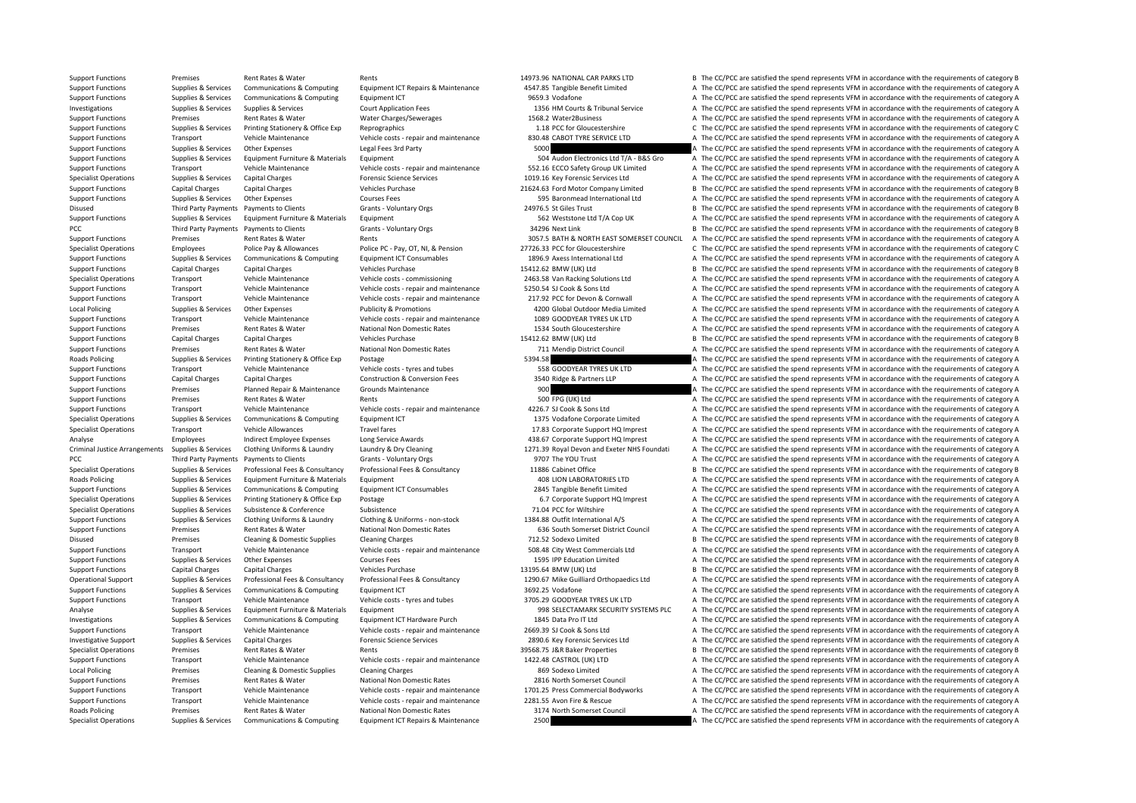Support Functions Premises Rent Rates & Water Rents Rents Rents Rents 14973.96 NATIONAL CAR PARKS LTD B The CC/PCC are satisfied the spend represents VFM in accordance with the requirements of category B Support Functions Supplies & Services Communications & Computing Equipment ICT Repairs & Maintenance 4547.85 Tangible Benefit Limited A The CC/PCC are satisfied the spend represents VFM in accordance with the requirements Support Functions Supplies & Services Communications & Computing Faultoment ICT 9659.3 Vodafone A The CC/PCC are satisfied the spend represents VFM in accordance with the requirements of category A Investigations Supplies Services Supplies Services Court Application Fees 1356 HM Courts & Tribunal Service A The CC/PCC are satisfied the spend represents VFM in accordance with the requirements of category A The CC/PCC a Support Functions Premises Rent Rates & Water Water Charges/Sewerages 1568.2 Water2Business A The CC/PCC are satisfied the spend represents VFM in accordance with the requirements of category A Support Functions Supplies & Services Printing Stationery & Office Exp Reprographics exp Reprographics 1.18 PCC for Gloucestershire C/PCC are satisfied the spend represents VFM in accordance with the requirements of catego Support Functions Transport Vehicle Maintenance Vehicle costs - repair and maintenance 830.48 CABOT TYRE SERVICE LTD A The CC/PCC are satisfied the spend represents VFM in accordance with the requirements of category A Support Functions Supplies & Services Other Expenses Legal Fees 3rd Party 5000 5000 A The CC/PCC are satisfied the spend represents VFM in accordance with the requirements of category A Support Functions Supplies & Services Equipment Furniture & Materials Equipment Support Equipment Support Function Electronics Ltd T/A - B&S Gro A The CC/PCC are satisfied the spend represents VFM in accordance with the re Support Functions Transport Vehicle Maintenance Vehicle costs - repair and maintenance 552.16 ECCO Safety Group UK Limited A The CC/PCC are satisfied the spend represents VFM in accordance with the requirements of category Specialist Operations Supplies & Services Capital Charges Forensic Science Services 1019.16 Key Forensic Services Ltd A The CC/PCC are satisfied the spend represents VFM in accordance with the requirements of category A Support Functions Capital Charges Capital Charges Vehicles Purchase Vehicles Purchase 21624.63 Ford Motor Company Limited B The CC/PCC are satisfied the spend represents VFM in accordance with the requirements of category Support Functions Supplies & Services Other Expenses Courses Fees Courses Fees 595 Baronmead International Ltd A The CC/PCC are satisfied the spend represents VFM in accordance with the requirements of category A Disused Third Party Payments Payments to Clients Grants - Voluntary Orgs 24976.5 St Giles Trust B The CC/PCC are satisfied the spend represents VFM in accordance with the requirements of category B Support Functions Supplies & Services Equipment Furniture & Materials Equipment Sequipment Support Functions Sequipment Sequipment Sequipments of category A The CC/PCC are satisfied the spend represents VFM in accordance w PCC Third Party Payments Payments to Clients Grants - Voluntary Orgs 34296 Next Link B The CC/PCC are satisfied the spend represents VFM in accordance with the requirements of category B Support Functions Premises Rent Rates & Water Rents Rents Rents Rents 3057.5 BATH & NORTH EAST SOMERSET COUNCIL A The CC/PCC are satisfied the spend represents VFM in accordance with the requirements of category A Specialist Operations Employees Police Pay & Allowances Police PC - Pay, OT, NI, & Pension 27726.33 PCC for Gloucestershire C The CC/PCC are satisfied the spend represents VFM in accordance with the requirements of categor Support Functions Supplies & Services Communications & Computing Equipment ICT Consumables 1896.9 Axess International Ltd A The CC/PCC are satisfied the spend represents VFM in accordance with the requirements of category Support Functions Capital Charges Capital Charges Vehicles Purchase 15412.62 BMW (UK) Ltd B The CC/PCC are satisfied the spend represents VFM in accordance with the requirements of category B Specialist Operations Transport Vehicle Maintenance Vehicle costs - commissioning 2463.58 Van Racking Solutions Ltd A The CC/PCC are satisfied the spend represents VFM in accordance with the requirements of category A Support Functions Transport Vehicle Maintenance Vehicle costs - repair and maintenance 5250.54 SJ Cook & Sons Ltd A The CC/PCC are satisfied the spend represents VFM in accordance with the requirements of category A Support Functions Transport Vehicle Maintenance Vehicle costs - repair and maintenance 217.92 PCC for Devon & Cornwall A The CC/PCC are satisfied the spend represents VFM in accordance with the requirements of category A Local Policing Supplies & Services Other Expenses Publicity & Promotions Publicity & Promotions 4200 Global Outdoor Media Limited A The CC/PCC are satisfied the spend represents VFM in accordance with the requirements of c Support Functions Transport Vehicle Maintenance Vehicle costs ‐ repair and maintenance 1089 GOODYEAR TYRES UK LTD A The CC/PCC are satisfied the spend represents VFM in accordance with the requirements of category A Support Functions Premises Rent Rates & Water National Non Domestic Rates 1534 South Gloucestershire A The CC/PCC are satisfied the spend represents VFM in accordance with the requirements of category A Support Functions Capital Charges Capital Charges Vehicles Purchase Vehicles Purchase 15412.62 BMW (UK) Ltd B The CC/PCC are satisfied the spend represents VFM in accordance with the requirements of category B Support Functions Premises Rent Rates & Water National Non Domestic Rates 711 Mendip District Council A The CC/PCC are satisfied the spend represents VFM in accordance with the requirements of category A Roads Policing Supplies & Services Printing Stationery & Office Exp Postage 6394.58 A The CC/PCC are satisfied the spend represents VFM in accordance with the requirements of category A Support Functions Transport Vehicle Maintenance Vehicle costs - tyres and tubes 558 GOODYEAR TYRES UK LTD A The CC/PCC are satisfied the spend represents VFM in accordance with the requirements of category A Support Functions Capital Charges Capital Charges Construction & Conversion Fees 3540 Ridge & Partners LLP A The CC/PCC are satisfied the spend represents VFM in accordance with the requirements of category A The CC/PCC ar Support Functions Premises Planned Repair & Maintenance Grounds Maintenance 900 900 A The CC/PCC are satisfied the spend represents VFM in accordance with the requirements of category A Support Functions Premises Rent Rates & Water Rents Rents Rents Rents A The CC/PCC are satisfied the spend represents VFM in accordance with the requirements of category A Support Functions Transport Vehicle Maintenance Vehicle costs - repair and maintenance 4226.7 SJ Cook & Sons Ltd A The CC/PCC are satisfied the spend represents VFM in accordance with the requirements of category A Specialist Operations Supplies & Services Communications & Computing Equipment ICT 1375 Vodafone Corporate Limited A The CC/PCC are satisfied the spend represents VFM in accordance with the requirements of category A Specialist Operations Transport Vehicle Allowances Travel fares Travel fares 17.83 Corporate Support HQ Imprest A The CC/PCC are satisfied the spend represents VFM in accordance with the requirements of category A Analyse Employees Indirect Employee Expenses Long Service Awards 438.67 Corporate Support HQ Imprest A The CC/PCC are satisfied the spend represents VFM in accordance with the requirements of category A Criminal Justice Arrangements Supplies & Services Clothing Uniforms & Laundry Laundry Bury Cleaning May Devon and Exeter NHS Foundati A The CC/PCC are satisfied the spend represents VFM in accordance with the requirements PCC Third Party Payments Payments to Clients Grants - Voluntary Orgs 9707 The YOU Trust A The CC/PCC are satisfied the spend represents VFM in accordance with the requirements of category A Supplies & Services Professional Fees & Consultancy Professional Fees & Consultancy Professional Fees & Consultancy Professional Fees & Consultancy Professional Fees & Consultancy Professional Fees & Consultancy 11886 Cabi Roads Policing Supplies & Services Equipment Furniture & Materials Equipment 408 LION LABORATORIES LTD A The CC/PCC are satisfied the spend represents VFM in accordance with the requirements of category A Support Functions Supplies & Services Communications & Computing Equipment ICT Consumables 2845 Tangible Benefit Limited A The CC/PCC are satisfied the spend represents VFM in accordance with the requirements of category A Specialist Operations Supplies & Services Printing Stationery & Office Exp Postage 6.7 Corporate Support HQ Imprest A The CC/PCC are satisfied the spend represents VFM in accordance with the requirements of category A Specialist Operations Supplies & Services Subsistence Subsistence Subsistence Subsistence Subsistence Subsistence Subsistence Subsistence Subsistence Subsistence Subsistence Subsistence 71.04 PCC for Wiltshire A The CC/PCC Supplies & Services Clothing Uniforms & Laundry Clothing & Uniforms - non-stock 1384.88 Outfit International A/S All The CC/PCC are satisfied the spend represents VFM in accordance with the requirements of category A Support Functions Premises Rent Rates & Water National Non Domestic Rates 636 South Somerset District Council A The CC/PCC are satisfied the spend represents VFM in accordance with the requirements of category A Disused Premises Cleaning & Domestic Supplies Cleaning Charges 712.52 Sodexo Limited B The CC/PCC are satisfied the spend represents VFM in accordance with the requirements of category B Support Functions Transport Vehicle Maintenance Vehicle costs - repair and maintenance 508.48 City West Commercials Ltd A The CC/PCC are satisfied the spend represents VFM in accordance with the requirements of category A Support Functions Supplies & Services Other Expenses Courses Fees Courses Fees 1595 IPP Education Limited A The CC/PCC are satisfied the spend represents VFM in accordance with the requirements of category A Support Functions Capital Charges Capital Charges Vehicles Purchase Vehicles Purchase 13195.64 BMW (UK) Ltd B The CC/PCC are satisfied the spend represents VFM in accordance with the requirements of category B Operational Support Supplies & Services Professional Fees & Consultancy Professional Fees & Consultancy Professional Fees & Consultancy Professional Fees & Consultancy Professional Fees & Consultancy Professional Fees & Co Support Functions Supplies & Services Communications & Computing Equipment ICT 3692.25 Vodafone 3692.25 Vodafone A The CC/PCC are satisfied the spend represents VFM in accordance with the requirements of category A Support Functions Transport Vehicle Maintenance Vehicle costs - tyres and tubes 3705.29 GOODYEAR TYRES UK LTD A The CC/PCC are satisfied the spend represents VFM in accordance with the requirements of category A Analyse Supplies & Services Equipment Furniture & Materials Equipment Sequipment 998 SELECTAMARK SECURITY SYSTEMS PLC A The CC/PCC are satisfied the spend represents VFM in accordance with the requirements of category A Investigations Supplies & Services Communications & Computing Equipment ICT Hardware Purch 1845 Data Pro IT Ltd A The CC/PCC are satisfied the spend represents VFM in accordance with the requirements of category A Support Functions Transport Vehicle Maintenance Vehicle costs ‐ repair and maintenance 2669.39 SJ Cook & Sons Ltd A The CC/PCC are satisfied the spend represents VFM in accordance with the requirements of category A Investigative Support Supplies & Services Capital Charges Forensic Science Services 2890.6 Key Forensic Services Ltd A The CC/PCC are satisfied the spend represents VFM in accordance with the requirements of category A Specialist Operations Premises Rent Rates & Water Rents Rents Rents Rents And the Specialist Operations Properties B The CC/PCC are satisfied the spend represents VFM in accordance with the requirements of category B Support Functions Transport Vehicle Maintenance Vehicle costs - repair and maintenance 1422.48 CASTROL (UK) LTD A The CC/PCC are satisfied the spend represents VFM in accordance with the requirements of category A Local Policing Premises Cleaning & Domestic Supplies Cleaning Charges Cleaning Charges 869 Sodexo Limited A The CC/PCC are satisfied the spend represents VFM in accordance with the requirements of category A The CC/PCC are Support Functions Premises Rent Rates & Water National Non Domestic Rates 2816 North Somerset Council A The CC/PCC are satisfied the spend represents VFM in accordance with the requirements of category A Support Functions Transport Vehicle Maintenance Vehicle costs - repair and maintenance 1701.25 Press Commercial Bodyworks A The CC/PCC are satisfied the spend represents VFM in accordance with the requirements of category Support Functions Transport Vehicle Maintenance Vehicle costs ‐ repair and maintenance 2281.55 Avon Fire & Rescue A The CC/PCC are satisfied the spend represents VFM in accordance with the requirements of category A Roads Policing Premises Rent Rates & Water National Non Domestic Rates 3174 North Somerset Council A The CC/PCC are satisfied the spend represents VFM in accordance with the requirements of category A Specialist Operations Supplies & Services Communications & Computing Equipment ICT Repairs & Maintenance 2500 2500 A The CC/PCC are satisfied the spend represents VFM in accordance with the requirements of category A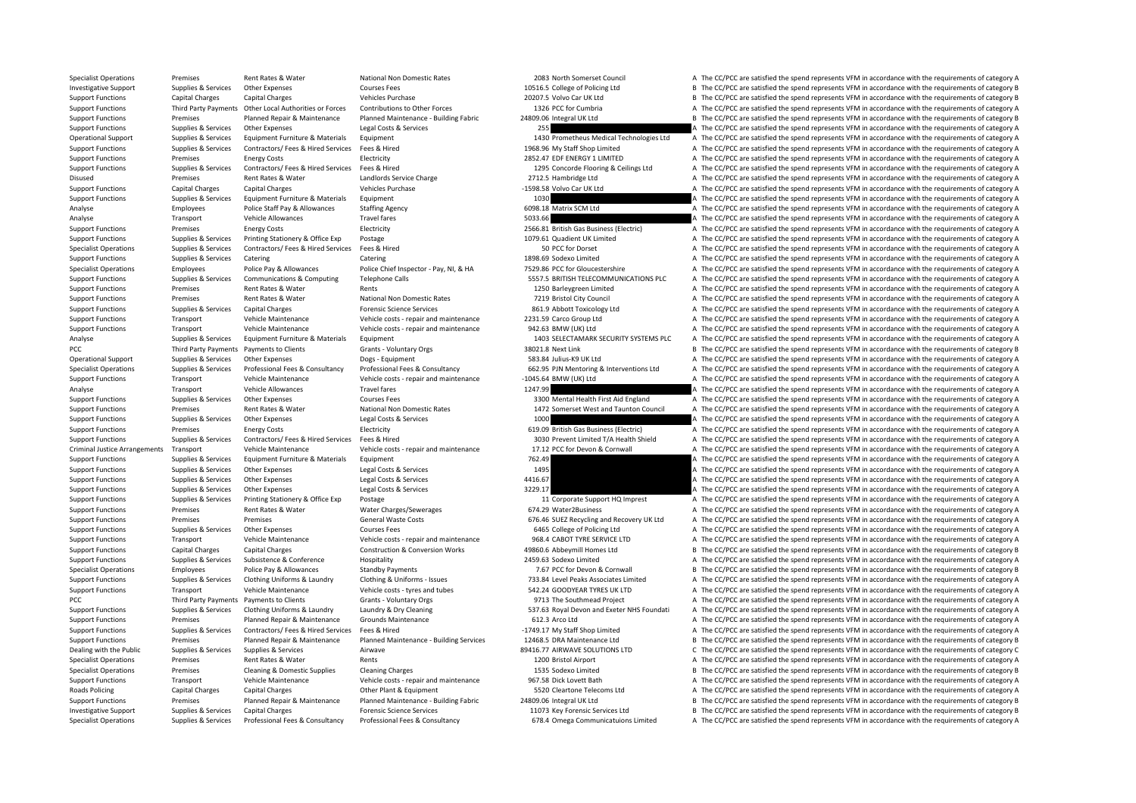Specialist Operations Premises Rent Rates & Water National Non Domestic Rates 2083 North Somerset Council A The CC/PCC are satisfied the spend represents VFM in accordance with the requirements of category A

Investigative Support Supplies & Services Other Expenses Courses Fees Courses Fees 10516.5 College of Policing Ltd B The CC/PCC are satisfied the spend represents VFM in accordance with the requirements of category B Support Functions Capital Charges Capital Charges Vehicles Purchase 20207.5 Volvo Car UK Ltd B The CC/PCC are satisfied the spend represents VFM in accordance with the requirements of category B Support Functions Third Party Payments Other Incid Authorities or Forces Contributions to Other Forces 1326 PCC for Cumbria and The CC/PCC are satisfied the spend represents VEM in accordance with the requirements of categ Support Functions Premises Planned Repair & Maintenance Planned Maintenance - Building Fabric 24809.06 Integral UK Ltd B The CC/PCC are satisfied the spend represents VFM in accordance with the requirements of category B Support Functions Supplies & Services Other Expenses Legal Costs & Services 255 255 A The CC/PCC are satisfied the spend represents VFM in accordance with the requirements of category A Operational Support Supplies & Services Equipment Furniture & Materials Equipment 1430 Prometheus Medical Technologies Ltd A The CC/PCC are satisfied the spend represents VFM in accordance with the requirements of category Support Functions Supplies & Services Contractors/ Fees & Hired Services Fees & Hired 1968.96 My Staff Shop Limited A The CC/PCC are satisfied the spend represents VFM in accordance with the requirements of category A Support Functions Premises Energy Costs Electricity Electricity 2852.47 EDF ENERGY 1 LIMITED A The CC/PCC are satisfied the spend represents VFM in accordance with the requirements of category A Supplies & Services Contractors/ Fees & Hired Services Fees & Hired Mired Mired Mired Mired Mired Mired Mired Mired Mired Mired Mired Mired Mired Mired Mired Mired Mired Mired Mired Mired Mired Mired Mired Mired Mired Mire Disused Premises Rent Rates & Water Landlords Service Charge 2712.5 Hambridge Ltd A The CC/PCC are satisfied the spend represents VFM in accordance with the requirements of category A Support Functions Capital Charges Capital Charges Vehicles Purchase Vehicles Purchase 1598.58 Volvo Car UK Ltd A The CC/PCC are satisfied the spend represents VFM in accordance with the requirements of category A Support Functions Supplies & Services Equipment Furniture & Materials Equipment 1030 1030 A The CC/PCC are satisfied the spend represents VFM in accordance with the requirements of category A Analyse Employees Police Staff Pay & Allowances Staffing Agency 6098.18 Matrix SCM Ltd A The CC/PCC are satisfied the spend represents VFM in accordance with the requirements of category A Analyse Transport Vehicle Allowances Travel fares Travel fares 5033.66 A The CC/PCC are satisfied the spend represents VFM in accordance with the requirements of category A Support Functions Premises Premises Energy Costs Electricity Electricity Electricity 2566.81 British Gas Business (Electricity A The CC/PCC are satisfied the spend represents VFM in accordance with the requirements of cate Support Functions Supplies & Services Printing Stationery & Office Exp Postage 1079.61 Quadient UK Limited A The CC/PCC are satisfied the spend represents VFM in accordance with the requirements of category A Specialist Operations Supplies & Services Contractors/ Fees & Hired Services Fees & Hired Services Fees & Hired 50 PCC for Dorset A The CC/PCC are satisfied the spend represents VFM in accordance with the requirements of c Support Functions Supplies & Services Catering Catering Catering Catering Catering Catering Catering Catering Catering 1898.69 Sodexo Limited A The CC/PCC are satisfied the spend represents VFM in accordance with the requi Specialist Operations Employees Police Pay & Allowances Police Chief Inspector - Pay, NL & HA 7529.86 PCC for Gloucestershire A The CC/PCC are satisfied the spend represents VEM in accordance with the requirements of categ Support Functions Supplies & Services Communications & Computing Telephone Calls 5557.5 BRITISH TELECOMMUNICATIONS PLC A The CC/PCC are satisfied the spend represents VFM in accordance with the requirements of category A Support Functions Premises Rent Rates & Water Rents Rents Rents Rents A The CC/PCC are satisfied A The CC/PCC are satisfied the spend represents VFM in accordance with the requirements of category A Support Functions Premises Rent Rates & Water National Non Domestic Rates 7219 Bristol City Council A The CC/PCC are satisfied the spend represents VFM in accordance with the requirements of category A Support Functions Supplies & Services Capital Charges Forensic Science Services **Forensic Science Services** 861.9 Abbott Toxicology Ltd A The CC/PCC are satisfied the spend represents VFM in accordance with the requirement Support Functions Transport Vehicle Maintenance Vehicle costs ‐ repair and maintenance 2231.59 Carco Group Ltd A The CC/PCC are satisfied the spend represents VFM in accordance with the requirements of category A Support Functions Transport Vehicle Maintenance Vehicle costs ‐ repair and maintenance 942.63 BMW (UK) Ltd A The CC/PCC are satisfied the spend represents VFM in accordance with the requirements of category A Analyse Supplies & Services Equipment Furniture & Materials Equipment 1403 SELECTAMARK SECURITY SYSTEMS PLC A The CC/PCC are satisfied the spend represents VFM in accordance with the requirements of category A PCC Third Party Payments Payments to Clients Grants - Voluntary Orgs 38021.8 Next Link B The CC/PCC are satisfied the spend represents VFM in accordance with the requirements of category B Operational Support Supplies & Services Other Expenses Dogs ‐ Equipment Dogs ‐ Equipment 583.84 Julius‐K9 UK Ltd A The CC/PCC are satisfied the spend represents VFM in accordance with the requirements of category A Specialist Operations Supplies & Services Professional Fees & Consultancy Professional Fees & Consultancy Professional Fees & Consultancy Professional Fees & Consultancy Professional Fees & Consultancy Professional Fees & Support Functions Transport Vehicle Maintenance Vehicle costs - repair and maintenance – 1045.64 BMW (UK) Ltd A The CC/PCC are satisfied the spend represents VFM in accordance with the requirements of category A Analyse Transport Vehicle Allowances Travel fares Travel fares 1247.99 A The CC/PCC are satisfied the spend represents VFM in accordance with the requirements of category A Support Functions Supplies & Services Other Expenses Courses Fees Courses Fees 3300 Mental Health First Aid England A The CC/PCC are satisfied the spend represents VFM in accordance with the requirements of category A Support Functions Premises Rent Rates & Water National Non Domestic Rates 1472 Somerset West and Taunton Council A The CC/PCC are satisfied the spend represents VFM in accordance with the requirements of category A Support Functions Supplies & Services Other Expenses Legal Costs & Services 1000 1000 A The CC/PCC are satisfied the spend represents VFM in accordance with the requirements of category A Support Functions Premises Energy Costs Flectricity Electricity and Electricity 619.09 British Gas Business (Electricity A The CC/PCC are satisfied the spend represents VFM in accordance with the requirements of category A Support Functions Supplies & Services Contractors/ Fees & Hired Services Fees & Hired Medical Medical Case of the CONTER SUPPORT A Health Shield A The CC/PCC are satisfied the spend represents VFM in accordance with the re Criminal Justice Arrangements Transport Christel Maintenance Vehicle Maintenance Vehicle Maintenance Vehicle costs - repair and maintenance 17.12 PCC for Devon & Cornwall A The CC/PCC are satisfied the spend represents VFM Support Functions Supplies & Services Equipment Furniture & Materials Equipment 762.49 762.49 A The CC/PCC are satisfied the spend represents VFM in accordance with the requirements of category A Support Functions Supplies & Services Other Expenses Legal Costs & Services 1495 A The CC/PCC are satisfied the spend represents VFM in accordance with the requirements of category A Support Functions Supplies & Services Other Expenses Legal Costs & Services 4416.67 A The CC/PCC are satisfied the spend represents VFM in accordance with the requirements of category A Support Functions Supplies & Services Other Expenses Legal Costs & Services 3229.17 3 3229.17 A The CC/PCC are satisfied the spend represents VFM in accordance with the requirements of category A Support Functions Supplies & Services Printing Stationery & Office Exp Postage 11 Corporate Support HQ Imprest A The CC/PCC are satisfied the spend represents VFM in accordance with the requirements of category A Support Functions Premises Rent Rates & Water Water Charges/Sewerages 674.29 Water2Business A The CC/PCC are satisfied the spend represents VFM in accordance with the requirements of category A Support Functions Premises Premises Premises Support General Waste Costs 676.46 SUEZ Recycling and Recovery UK Ltd A The CC/PCC are satisfied the spend represents VFM in accordance with the requirements of category A Support Functions Supplies & Services Other Expenses Courses Fees 6465 College of Policing Ltd A The CC/PCC are satisfied the spend represents VFM in accordance with the requirements of category A Support Functions Transport Vehicle Maintenance Vehicle costs - repair and maintenance 968.4 CABOT TYRE SERVICE LTD A The CC/PCC are satisfied the spend represents VFM in accordance with the requirements of category A Support Functions Capital Charges Capital Charges Construction & Conversion Works 49860.6 Abbeymill Homes Ltd B The CC/PCC are satisfied the spend represents VFM in accordance with the requirements of category B Support Functions Supplies & Services Subsistence & Conference Hospitality Hospitality 2459.63 Sodexo Limited A The CC/PCC are satisfied the spend represents VFM in accordance with the requirements of category A Specialist Operations Employees Police Pay & Allowances Standby Payments Standby Payments 7.67 PCC for Devon & Cornwall B The CC/PCC are satisfied the spend represents VFM in accordance with the requirements of category B Support Functions Supplies & Services Clothing Uniforms & Laundry Clothing & Uniforms - Issues Clothing & Clothing & Uniforms - Issues 733.84 Level Peaks Associates Limited A The CC/PCC are satisfied the spend represents V Support Functions Transport Vehicle Maintenance Vehicle costs - tyres and tubes 542.24 GOODYEAR TYRES UK LTD A The CC/PCC are satisfied the spend represents VFM in accordance with the requirements of category A PCC Third Party Payments Payments to Clients Grants - Voluntary Orgs 9713 The Southmead Project A The CC/PCC are satisfied the spend represents VFM in accordance with the requirements of category A Support Functions Supplies & Services Clothing Uniforms & Laundry Laundry Bury Cleaning Sury Cleaning S37.63 Royal Devon and Exeter NHS Foundati A The CC/PCC are satisfied the spend represents VFM in accordance with the re Support Functions Premises Planned Repair & Maintenance Grounds Maintenance 612.3 Arco Ltd A The CC/PCC are satisfied the spend represents VFM in accordance with the requirements of category A Support Functions Supplies & Services Contractors/ Fees & Hired Services Fees & Hired A The Services Fees & Hired A The CC/PCC are satisfied the spend represents VFM in accordance with the requirements of category A Support Functions Premises Planned Repair & Maintenance Planned Maintenance - Building Services 12468.5 DRA Maintenance Ltd B The CC/PCC are satisfied the spend represents VFM in accordance with the requirements of categor Dealing with the Public Supplies & Services Supplies & Services Airwave Airwave Airwave 89416.77 AIRWAVE SOLUTIONS LTD C The CC/PCC are satisfied the spend represents VFM in accordance with the requirements of category C Specialist Operations Premises Rent Rates & Water Rents Rents Rents Rents Rents Rent Rents Rents 1200 Bristol Airport A The CC/PCC are satisfied the spend represents VFM in accordance with the requirements of category A Specialist Operations Premises Cleaning & Domestic Supplies Cleaning Charges 1535 Sodexo Limited B The CC/PCC are satisfied the spend represents VFM in accordance with the requirements of category B Support Functions Transport Vehicle Maintenance Vehicle costs - repair and maintenance 967.58 Dick Lovett Bath A The CC/PCC are satisfied the spend represents VFM in accordance with the requirements of category A Roads Policing Capital Charges Capital Charges Other Plant & Equipment Stategory A The CC/PCC are satisfied the spend represents VFM in accordance with the requirements of category A Support Functions Premises Planned Repair & Maintenance Planned Maintenance - Building Fabric 24809.06 Integral UK Ltd B The CC/PCC are satisfied the spend represents VFM in accordance with the requirements of category B Investigative Support Supplies & Services Capital Charges Forensic Science Services 11073 Key Forensic Services 11073 Key Forensic Services Ltd B The CC/PCC are satisfied the spend represents VFM in accordance with the req Supplies & Services Professional Fees & Consultancy Professional Fees & Consultancy Professional Fees & Consultancy Professional Fees & Consultancy Professional Fees & Consultancy Professional Fees & Consultancy Profession